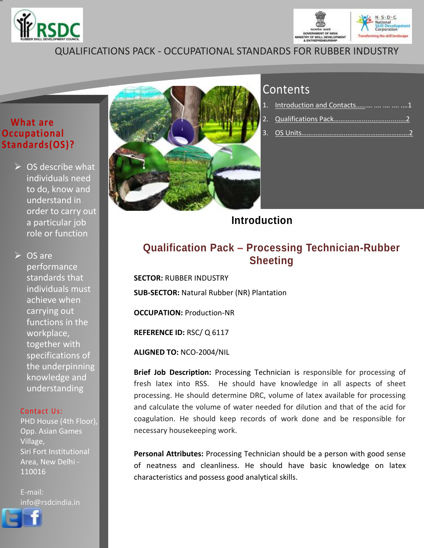



# QUALIFICATIONS PACK - OCCUPATIONAL STANDARDS FOR RUBBER INDUSTRY

### **What are Occupational Standards(OS)?**

 $\triangleright$  OS describe what individuals need to do, know and understand in order to carry out a particular job role or function

 $\triangleright$  OS are performance standards that individuals must achieve when carrying out functions in the workplace, together with specifications of the underpinning knowledge and understanding

#### Contact Us:

PHD House (4th Floor), Opp. Asian Games Village, Siri Fort Institutional Area, New Delhi - 110016

E-mail: info@rsdcindia.in





# **Contents**

| 1. Introduction and Contacts    1 |
|-----------------------------------|
|                                   |
|                                   |

**Introduction**

# <span id="page-0-0"></span>**Qualification Pack – Processing Technician-Rubber Sheeting**

**SECTOR:** RUBBER INDUSTRY **SUB-SECTOR:** Natural Rubber (NR) Plantation

**OCCUPATION:** Production-NR

**REFERENCE ID:** RSC/ Q 6117

**ALIGNED TO:** NCO-2004/NIL

**Brief Job Description:** Processing Technician is responsible for processing of fresh latex into RSS. He should have knowledge in all aspects of sheet processing. He should determine DRC, volume of latex available for processing and calculate the volume of water needed for dilution and that of the acid for coagulation. He should keep records of work done and be responsible for necessary housekeeping work.

**Personal Attributes:** Processing Technician should be a person with good sense of neatness and cleanliness. He should have basic knowledge on latex characteristics and possess good analytical skills.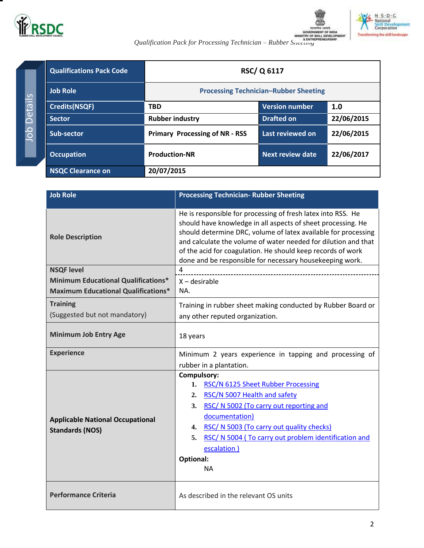

**CONSIDERATE CHANNEL CONSIDER**<br>AMAISTRY OF SKELL DEVELOPMENT<br>Qualification Pack for Processing Technician – Rubber Sheeting

<span id="page-1-0"></span>

| <b>Qualifications Pack Code</b> | <b>RSC/Q 6117</b>                            |                       |            |
|---------------------------------|----------------------------------------------|-----------------------|------------|
| <b>Job Role</b>                 | <b>Processing Technician-Rubber Sheeting</b> |                       |            |
| <b>Credits(NSQF)</b>            | <b>TBD</b>                                   | <b>Version number</b> | 1.0        |
| <b>Sector</b>                   | <b>Rubber industry</b>                       | <b>Drafted on</b>     | 22/06/2015 |
| Sub-sector                      | <b>Primary Processing of NR - RSS</b>        | Last reviewed on      | 22/06/2015 |
| <b>Occupation</b>               | <b>Production-NR</b>                         | Next review date      | 22/06/2017 |
| <b>NSQC Clearance on</b>        | 20/07/2015                                   |                       |            |

| <b>Job Role</b>                                                   | <b>Processing Technician- Rubber Sheeting</b>                                                                                                                                                                                                                                                                                                                                               |  |
|-------------------------------------------------------------------|---------------------------------------------------------------------------------------------------------------------------------------------------------------------------------------------------------------------------------------------------------------------------------------------------------------------------------------------------------------------------------------------|--|
| <b>Role Description</b>                                           | He is responsible for processing of fresh latex into RSS. He<br>should have knowledge in all aspects of sheet processing. He<br>should determine DRC, volume of latex available for processing<br>and calculate the volume of water needed for dilution and that<br>of the acid for coagulation. He should keep records of work<br>done and be responsible for necessary housekeeping work. |  |
| <b>NSQF level</b>                                                 | $\overline{4}$                                                                                                                                                                                                                                                                                                                                                                              |  |
| <b>Minimum Educational Qualifications*</b>                        | $X -$ desirable                                                                                                                                                                                                                                                                                                                                                                             |  |
| <b>Maximum Educational Qualifications*</b>                        | NA.                                                                                                                                                                                                                                                                                                                                                                                         |  |
| <b>Training</b>                                                   | Training in rubber sheet making conducted by Rubber Board or                                                                                                                                                                                                                                                                                                                                |  |
| (Suggested but not mandatory)                                     | any other reputed organization.                                                                                                                                                                                                                                                                                                                                                             |  |
| <b>Minimum Job Entry Age</b>                                      | 18 years                                                                                                                                                                                                                                                                                                                                                                                    |  |
| <b>Experience</b>                                                 | Minimum 2 years experience in tapping and processing of                                                                                                                                                                                                                                                                                                                                     |  |
|                                                                   | rubber in a plantation.                                                                                                                                                                                                                                                                                                                                                                     |  |
| <b>Applicable National Occupational</b><br><b>Standards (NOS)</b> | Compulsory:<br>RSC/N 6125 Sheet Rubber Processing<br>1.<br>RSC/N 5007 Health and safety<br>2.<br>RSC/ N 5002 (To carry out reporting and<br>3.<br>documentation)<br>4. RSC/ N 5003 (To carry out quality checks)<br>RSC/ N 5004 (To carry out problem identification and<br>5.<br>escalation)<br><b>Optional:</b><br><b>NA</b>                                                              |  |
| <b>Performance Criteria</b>                                       | As described in the relevant OS units                                                                                                                                                                                                                                                                                                                                                       |  |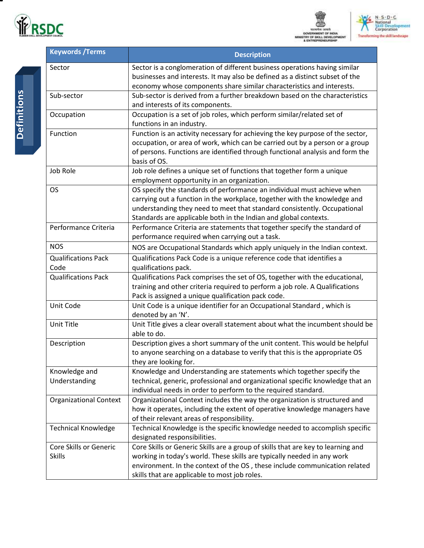





| <b>Keywords / Terms</b>       | <b>Description</b>                                                                                                                                         |
|-------------------------------|------------------------------------------------------------------------------------------------------------------------------------------------------------|
| Sector                        | Sector is a conglomeration of different business operations having similar<br>businesses and interests. It may also be defined as a distinct subset of the |
| Sub-sector                    | economy whose components share similar characteristics and interests.<br>Sub-sector is derived from a further breakdown based on the characteristics       |
|                               | and interests of its components.                                                                                                                           |
| Occupation                    | Occupation is a set of job roles, which perform similar/related set of<br>functions in an industry.                                                        |
| Function                      | Function is an activity necessary for achieving the key purpose of the sector,                                                                             |
|                               | occupation, or area of work, which can be carried out by a person or a group                                                                               |
|                               | of persons. Functions are identified through functional analysis and form the                                                                              |
|                               | basis of OS.                                                                                                                                               |
| Job Role                      | Job role defines a unique set of functions that together form a unique                                                                                     |
|                               | employment opportunity in an organization.                                                                                                                 |
| <b>OS</b>                     | OS specify the standards of performance an individual must achieve when                                                                                    |
|                               | carrying out a function in the workplace, together with the knowledge and                                                                                  |
|                               | understanding they need to meet that standard consistently. Occupational                                                                                   |
|                               | Standards are applicable both in the Indian and global contexts.                                                                                           |
| Performance Criteria          | Performance Criteria are statements that together specify the standard of                                                                                  |
|                               | performance required when carrying out a task.                                                                                                             |
| <b>NOS</b>                    | NOS are Occupational Standards which apply uniquely in the Indian context.                                                                                 |
| <b>Qualifications Pack</b>    | Qualifications Pack Code is a unique reference code that identifies a                                                                                      |
| Code                          | qualifications pack.                                                                                                                                       |
| <b>Qualifications Pack</b>    | Qualifications Pack comprises the set of OS, together with the educational,                                                                                |
|                               | training and other criteria required to perform a job role. A Qualifications                                                                               |
|                               | Pack is assigned a unique qualification pack code.                                                                                                         |
| Unit Code                     | Unit Code is a unique identifier for an Occupational Standard, which is                                                                                    |
|                               | denoted by an 'N'.                                                                                                                                         |
| Unit Title                    | Unit Title gives a clear overall statement about what the incumbent should be<br>able to do.                                                               |
| Description                   | Description gives a short summary of the unit content. This would be helpful                                                                               |
|                               | to anyone searching on a database to verify that this is the appropriate OS                                                                                |
|                               | they are looking for.                                                                                                                                      |
| Knowledge and                 | Knowledge and Understanding are statements which together specify the                                                                                      |
| Understanding                 | technical, generic, professional and organizational specific knowledge that an                                                                             |
|                               | individual needs in order to perform to the required standard.                                                                                             |
| <b>Organizational Context</b> | Organizational Context includes the way the organization is structured and                                                                                 |
|                               | how it operates, including the extent of operative knowledge managers have                                                                                 |
|                               | of their relevant areas of responsibility.                                                                                                                 |
| <b>Technical Knowledge</b>    | Technical Knowledge is the specific knowledge needed to accomplish specific                                                                                |
|                               | designated responsibilities.                                                                                                                               |
| Core Skills or Generic        | Core Skills or Generic Skills are a group of skills that are key to learning and                                                                           |
| <b>Skills</b>                 | working in today's world. These skills are typically needed in any work                                                                                    |
|                               | environment. In the context of the OS, these include communication related                                                                                 |
|                               | skills that are applicable to most job roles.                                                                                                              |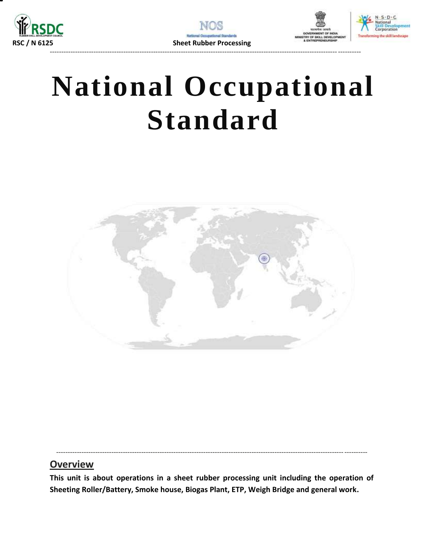<span id="page-3-0"></span>





# **National Occupational Standard**



### ---------------------------------------------------------------------------------------------------------------------------------------

### **Overview**

**This unit is about operations in a sheet rubber processing unit including the operation of Sheeting Roller/Battery, Smoke house, Biogas Plant, ETP, Weigh Bridge and general work.**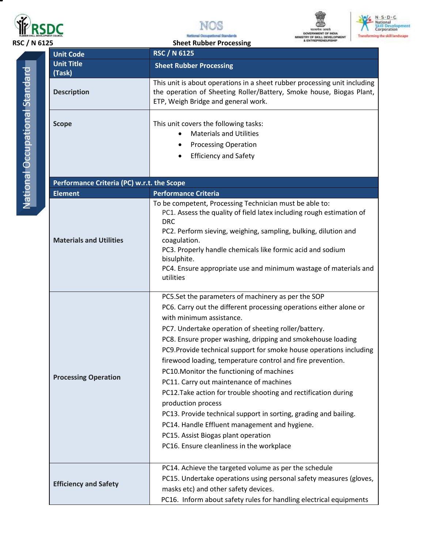







| RSC / N 6125                   |                                            | UNIT UP ONEA MEYERA<br><b>&amp; ENTREPRENEURISHE</b><br><b>Sheet Rubber Processing</b>                                                                                                                                                                                                                                                                                                                                                                                                                                                                                                                                                                                                                                                                                                                     |
|--------------------------------|--------------------------------------------|------------------------------------------------------------------------------------------------------------------------------------------------------------------------------------------------------------------------------------------------------------------------------------------------------------------------------------------------------------------------------------------------------------------------------------------------------------------------------------------------------------------------------------------------------------------------------------------------------------------------------------------------------------------------------------------------------------------------------------------------------------------------------------------------------------|
|                                | <b>Unit Code</b>                           | <b>RSC / N 6125</b>                                                                                                                                                                                                                                                                                                                                                                                                                                                                                                                                                                                                                                                                                                                                                                                        |
|                                | <b>Unit Title</b><br>(Task)                | <b>Sheet Rubber Processing</b>                                                                                                                                                                                                                                                                                                                                                                                                                                                                                                                                                                                                                                                                                                                                                                             |
|                                | <b>Description</b>                         | This unit is about operations in a sheet rubber processing unit including<br>the operation of Sheeting Roller/Battery, Smoke house, Biogas Plant,<br>ETP, Weigh Bridge and general work.                                                                                                                                                                                                                                                                                                                                                                                                                                                                                                                                                                                                                   |
| National Occupational Standard | <b>Scope</b>                               | This unit covers the following tasks:<br><b>Materials and Utilities</b><br><b>Processing Operation</b><br><b>Efficiency and Safety</b>                                                                                                                                                                                                                                                                                                                                                                                                                                                                                                                                                                                                                                                                     |
|                                | Performance Criteria (PC) w.r.t. the Scope |                                                                                                                                                                                                                                                                                                                                                                                                                                                                                                                                                                                                                                                                                                                                                                                                            |
|                                | <b>Element</b>                             | <b>Performance Criteria</b>                                                                                                                                                                                                                                                                                                                                                                                                                                                                                                                                                                                                                                                                                                                                                                                |
|                                | <b>Materials and Utilities</b>             | To be competent, Processing Technician must be able to:<br>PC1. Assess the quality of field latex including rough estimation of<br><b>DRC</b><br>PC2. Perform sieving, weighing, sampling, bulking, dilution and<br>coagulation.<br>PC3. Properly handle chemicals like formic acid and sodium<br>bisulphite.<br>PC4. Ensure appropriate use and minimum wastage of materials and<br>utilities                                                                                                                                                                                                                                                                                                                                                                                                             |
|                                | <b>Processing Operation</b>                | PC5.Set the parameters of machinery as per the SOP<br>PC6. Carry out the different processing operations either alone or<br>with minimum assistance.<br>PC7. Undertake operation of sheeting roller/battery.<br>PC8. Ensure proper washing, dripping and smokehouse loading<br>PC9. Provide technical support for smoke house operations including<br>firewood loading, temperature control and fire prevention.<br>PC10. Monitor the functioning of machines<br>PC11. Carry out maintenance of machines<br>PC12. Take action for trouble shooting and rectification during<br>production process<br>PC13. Provide technical support in sorting, grading and bailing.<br>PC14. Handle Effluent management and hygiene.<br>PC15. Assist Biogas plant operation<br>PC16. Ensure cleanliness in the workplace |
|                                | <b>Efficiency and Safety</b>               | PC14. Achieve the targeted volume as per the schedule<br>PC15. Undertake operations using personal safety measures (gloves,<br>masks etc) and other safety devices.<br>PC16. Inform about safety rules for handling electrical equipments                                                                                                                                                                                                                                                                                                                                                                                                                                                                                                                                                                  |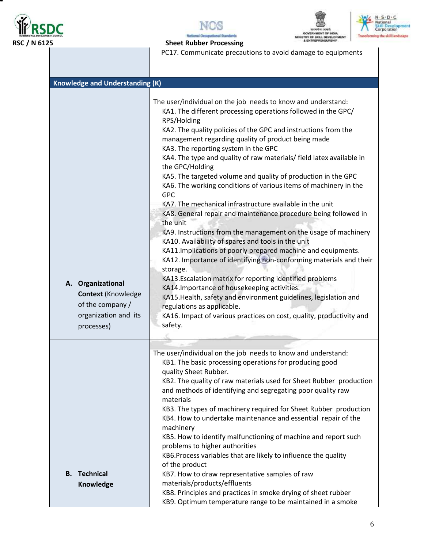



lands





Nat

PC17. Communicate precautions to avoid damage to equipments

| <b>Knowledge and Understanding (K)</b>                                                                   |                                                                                                                                                                                                                                                                                                                                                                                                                                                                                                                                                                                                                                                                                                                                                                                                                                                                                                                                                                                                                                                                                                                                                                                                                                                                                     |
|----------------------------------------------------------------------------------------------------------|-------------------------------------------------------------------------------------------------------------------------------------------------------------------------------------------------------------------------------------------------------------------------------------------------------------------------------------------------------------------------------------------------------------------------------------------------------------------------------------------------------------------------------------------------------------------------------------------------------------------------------------------------------------------------------------------------------------------------------------------------------------------------------------------------------------------------------------------------------------------------------------------------------------------------------------------------------------------------------------------------------------------------------------------------------------------------------------------------------------------------------------------------------------------------------------------------------------------------------------------------------------------------------------|
|                                                                                                          |                                                                                                                                                                                                                                                                                                                                                                                                                                                                                                                                                                                                                                                                                                                                                                                                                                                                                                                                                                                                                                                                                                                                                                                                                                                                                     |
| A. Organizational<br><b>Context (Knowledge</b><br>of the company /<br>organization and its<br>processes) | The user/individual on the job needs to know and understand:<br>KA1. The different processing operations followed in the GPC/<br>RPS/Holding<br>KA2. The quality policies of the GPC and instructions from the<br>management regarding quality of product being made<br>KA3. The reporting system in the GPC<br>KA4. The type and quality of raw materials/ field latex available in<br>the GPC/Holding<br>KA5. The targeted volume and quality of production in the GPC<br>KA6. The working conditions of various items of machinery in the<br><b>GPC</b><br>KA7. The mechanical infrastructure available in the unit<br>KA8. General repair and maintenance procedure being followed in<br>the unit<br>KA9. Instructions from the management on the usage of machinery<br>KA10. Availability of spares and tools in the unit<br>KA11. Implications of poorly prepared machine and equipments.<br>KA12. Importance of identifying non-conforming materials and their<br>storage.<br>KA13. Escalation matrix for reporting identified problems<br>KA14. Importance of housekeeping activities.<br>KA15. Health, safety and environment guidelines, legislation and<br>regulations as applicable.<br>KA16. Impact of various practices on cost, quality, productivity and<br>safety. |
|                                                                                                          |                                                                                                                                                                                                                                                                                                                                                                                                                                                                                                                                                                                                                                                                                                                                                                                                                                                                                                                                                                                                                                                                                                                                                                                                                                                                                     |
|                                                                                                          | The user/individual on the job needs to know and understand:<br>KB1. The basic processing operations for producing good<br>quality Sheet Rubber.<br>KB2. The quality of raw materials used for Sheet Rubber production<br>and methods of identifying and segregating poor quality raw<br>materials<br>KB3. The types of machinery required for Sheet Rubber production<br>KB4. How to undertake maintenance and essential repair of the<br>machinery<br>KB5. How to identify malfunctioning of machine and report such<br>problems to higher authorities<br>KB6. Process variables that are likely to influence the quality<br>of the product                                                                                                                                                                                                                                                                                                                                                                                                                                                                                                                                                                                                                                       |
| <b>Technical</b><br><b>B.</b>                                                                            | KB7. How to draw representative samples of raw                                                                                                                                                                                                                                                                                                                                                                                                                                                                                                                                                                                                                                                                                                                                                                                                                                                                                                                                                                                                                                                                                                                                                                                                                                      |
| Knowledge                                                                                                | materials/products/effluents<br>KB8. Principles and practices in smoke drying of sheet rubber<br>KB9. Optimum temperature range to be maintained in a smoke                                                                                                                                                                                                                                                                                                                                                                                                                                                                                                                                                                                                                                                                                                                                                                                                                                                                                                                                                                                                                                                                                                                         |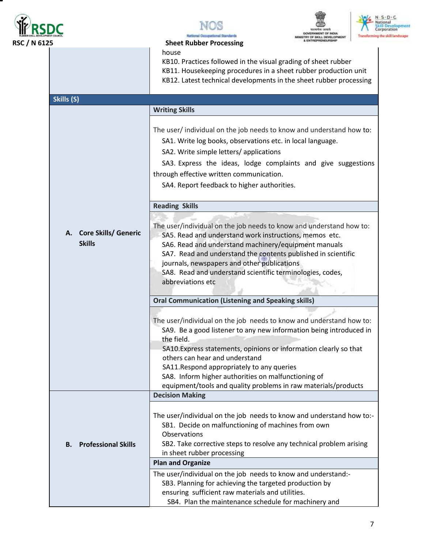







#### RSC / N 6125 Sheet Rubber Processing house

**ALL** 

KB10. Practices followed in the visual grading of sheet rubber KB11. Housekeeping procedures in a sheet rubber production unit KB12. Latest technical developments in the sheet rubber processing

| Skills (S)                                         |                                                                                                                                                                                                                                                                                                                                                                                                                                       |
|----------------------------------------------------|---------------------------------------------------------------------------------------------------------------------------------------------------------------------------------------------------------------------------------------------------------------------------------------------------------------------------------------------------------------------------------------------------------------------------------------|
|                                                    | <b>Writing Skills</b>                                                                                                                                                                                                                                                                                                                                                                                                                 |
|                                                    | The user/individual on the job needs to know and understand how to:<br>SA1. Write log books, observations etc. in local language.<br>SA2. Write simple letters/applications<br>SA3. Express the ideas, lodge complaints and give suggestions<br>through effective written communication.<br>SA4. Report feedback to higher authorities.                                                                                               |
|                                                    | <b>Reading Skills</b>                                                                                                                                                                                                                                                                                                                                                                                                                 |
| <b>Core Skills/ Generic</b><br>А.<br><b>Skills</b> | The user/individual on the job needs to know and understand how to:<br>SA5. Read and understand work instructions, memos etc.<br>SA6. Read and understand machinery/equipment manuals<br>SA7. Read and understand the contents published in scientific<br>journals, newspapers and other publications<br>SA8. Read and understand scientific terminologies, codes,<br>abbreviations etc                                               |
|                                                    | <b>Oral Communication (Listening and Speaking skills)</b>                                                                                                                                                                                                                                                                                                                                                                             |
|                                                    | The user/individual on the job needs to know and understand how to:<br>SA9. Be a good listener to any new information being introduced in<br>the field.<br>SA10. Express statements, opinions or information clearly so that<br>others can hear and understand<br>SA11. Respond appropriately to any queries<br>SA8. Inform higher authorities on malfunctioning of<br>equipment/tools and quality problems in raw materials/products |
|                                                    | <b>Decision Making</b>                                                                                                                                                                                                                                                                                                                                                                                                                |
| <b>Professional Skills</b><br>В.                   | The user/individual on the job needs to know and understand how to:-<br>SB1. Decide on malfunctioning of machines from own<br>Observations<br>SB2. Take corrective steps to resolve any technical problem arising<br>in sheet rubber processing                                                                                                                                                                                       |
|                                                    | <b>Plan and Organize</b>                                                                                                                                                                                                                                                                                                                                                                                                              |
|                                                    | The user/individual on the job needs to know and understand:-<br>SB3. Planning for achieving the targeted production by<br>ensuring sufficient raw materials and utilities.<br>SB4. Plan the maintenance schedule for machinery and                                                                                                                                                                                                   |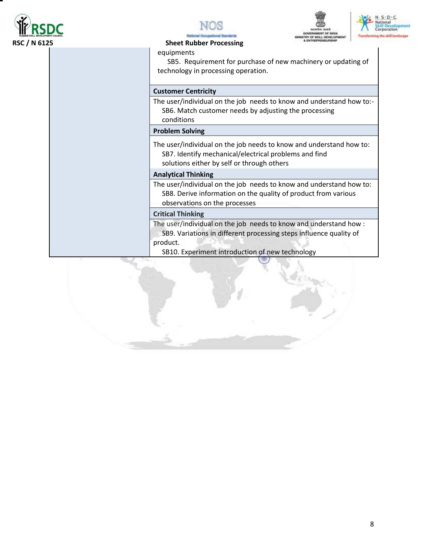







#### equipments

SB5. Requirement for purchase of new machinery or updating of technology in processing operation.

#### **Customer Centricity**

The user/individual on the job needs to know and understand how to:- SB6. Match customer needs by adjusting the processing conditions

#### **Problem Solving**

The user/individual on the job needs to know and understand how to: SB7. Identify mechanical/electrical problems and find solutions either by self or through others

#### **Analytical Thinking**

The user/individual on the job needs to know and understand how to: SB8. Derive information on the quality of product from various observations on the processes

#### **Critical Thinking**

The user/individual on the job needs to know and understand how : SB9. Variations in different processing steps influence quality of product.

SB10. Experiment introduction of new technology

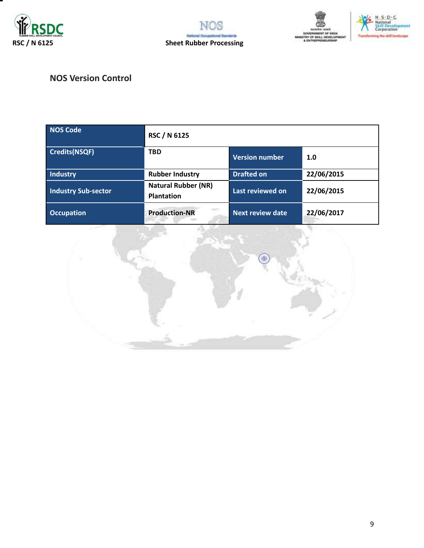







# **NOS Version Control**

| <b>NOS Code</b>            | RSC / N 6125                                    |                         |            |
|----------------------------|-------------------------------------------------|-------------------------|------------|
| <b>Credits(NSQF)</b>       | <b>TBD</b>                                      | <b>Version number</b>   | 1.0        |
| Industry                   | <b>Rubber Industry</b>                          | <b>Drafted on</b>       | 22/06/2015 |
| <b>Industry Sub-sector</b> | <b>Natural Rubber (NR)</b><br><b>Plantation</b> | Last reviewed on        | 22/06/2015 |
| <b>Occupation</b>          | <b>Production-NR</b>                            | <b>Next review date</b> | 22/06/2017 |

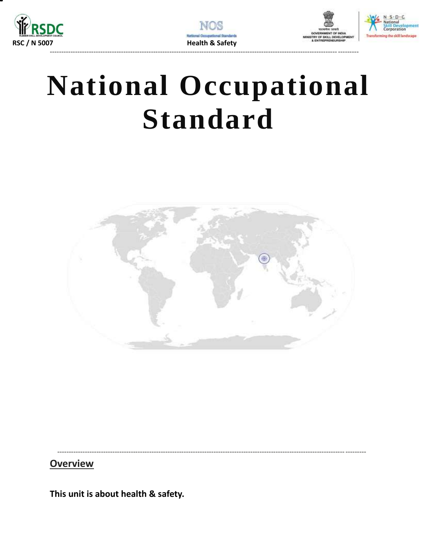







# **National Occupational Standard**

<span id="page-9-0"></span>

**Overview** 

This unit is about health & safety.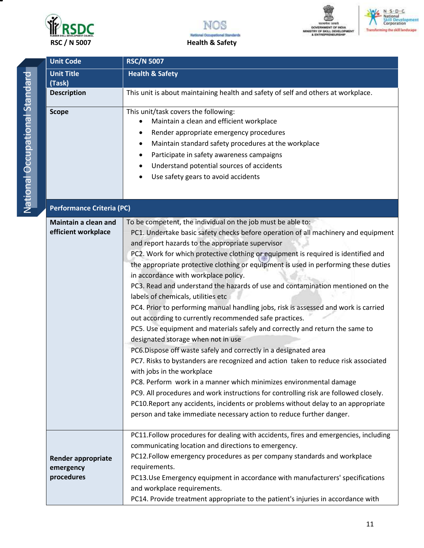







| Ì |
|---|
|   |
|   |
|   |
|   |
|   |
|   |
|   |
|   |
|   |
|   |
|   |
| J |
|   |
|   |
|   |
|   |
| ï |
|   |
| Í |
|   |
|   |
| Ì |
|   |
|   |
|   |
|   |
|   |
|   |
|   |
| į |
|   |
|   |
|   |
|   |
| ì |
|   |
|   |
|   |
|   |
|   |
|   |
|   |
| ĺ |
|   |
|   |
|   |
|   |
| I |
|   |
|   |
|   |
|   |
|   |
|   |
|   |
|   |
|   |
|   |
|   |
|   |
|   |
|   |

| <b>Unit Code</b>                                     | <b>RSC/N 5007</b>                                                                                                                                                                                                                                                                                                                                                                                                                                                                                                                                                                                                                                                                                                                                                                                                                                                                                                                                                                                                                                                                                                                                                                                                                                                                                                                           |
|------------------------------------------------------|---------------------------------------------------------------------------------------------------------------------------------------------------------------------------------------------------------------------------------------------------------------------------------------------------------------------------------------------------------------------------------------------------------------------------------------------------------------------------------------------------------------------------------------------------------------------------------------------------------------------------------------------------------------------------------------------------------------------------------------------------------------------------------------------------------------------------------------------------------------------------------------------------------------------------------------------------------------------------------------------------------------------------------------------------------------------------------------------------------------------------------------------------------------------------------------------------------------------------------------------------------------------------------------------------------------------------------------------|
| <b>Unit Title</b><br>(Task)                          | <b>Health &amp; Safety</b>                                                                                                                                                                                                                                                                                                                                                                                                                                                                                                                                                                                                                                                                                                                                                                                                                                                                                                                                                                                                                                                                                                                                                                                                                                                                                                                  |
| <b>Description</b>                                   | This unit is about maintaining health and safety of self and others at workplace.                                                                                                                                                                                                                                                                                                                                                                                                                                                                                                                                                                                                                                                                                                                                                                                                                                                                                                                                                                                                                                                                                                                                                                                                                                                           |
| <b>Scope</b>                                         | This unit/task covers the following:<br>Maintain a clean and efficient workplace<br>Render appropriate emergency procedures<br>٠<br>Maintain standard safety procedures at the workplace<br>$\bullet$<br>Participate in safety awareness campaigns<br>$\bullet$<br>Understand potential sources of accidents<br>$\bullet$<br>Use safety gears to avoid accidents<br>٠                                                                                                                                                                                                                                                                                                                                                                                                                                                                                                                                                                                                                                                                                                                                                                                                                                                                                                                                                                       |
| <b>Performance Criteria (PC)</b>                     |                                                                                                                                                                                                                                                                                                                                                                                                                                                                                                                                                                                                                                                                                                                                                                                                                                                                                                                                                                                                                                                                                                                                                                                                                                                                                                                                             |
| <b>Maintain a clean and</b><br>efficient workplace   | To be competent, the individual on the job must be able to:<br>PC1. Undertake basic safety checks before operation of all machinery and equipment<br>and report hazards to the appropriate supervisor<br>PC2. Work for which protective clothing or equipment is required is identified and<br>the appropriate protective clothing or equipment is used in performing these duties<br>in accordance with workplace policy.<br>PC3. Read and understand the hazards of use and contamination mentioned on the<br>labels of chemicals, utilities etc<br>PC4. Prior to performing manual handling jobs, risk is assessed and work is carried<br>out according to currently recommended safe practices.<br>PC5. Use equipment and materials safely and correctly and return the same to<br>designated storage when not in use<br>PC6.Dispose off waste safely and correctly in a designated area<br>PC7. Risks to bystanders are recognized and action taken to reduce risk associated<br>with jobs in the workplace<br>PC8. Perform work in a manner which minimizes environmental damage<br>PC9. All procedures and work instructions for controlling risk are followed closely.<br>PC10. Report any accidents, incidents or problems without delay to an appropriate<br>person and take immediate necessary action to reduce further danger. |
| <b>Render appropriate</b><br>emergency<br>procedures | PC11.Follow procedures for dealing with accidents, fires and emergencies, including<br>communicating location and directions to emergency.<br>PC12.Follow emergency procedures as per company standards and workplace<br>requirements.<br>PC13.Use Emergency equipment in accordance with manufacturers' specifications<br>and workplace requirements.<br>PC14. Provide treatment appropriate to the patient's injuries in accordance with                                                                                                                                                                                                                                                                                                                                                                                                                                                                                                                                                                                                                                                                                                                                                                                                                                                                                                  |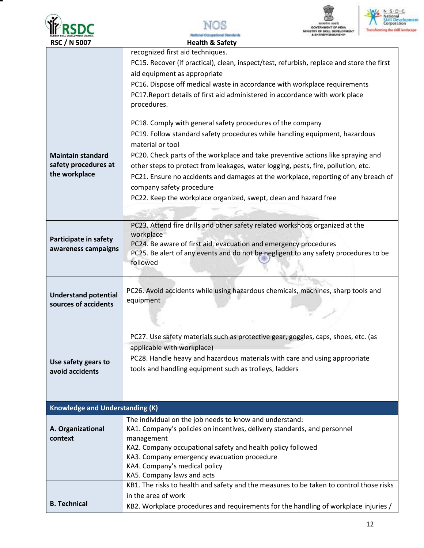







| RUBBER SKILL DEVELOPMENT COUNCIL             | <b>FULL ALL QUIRE PEAKERS</b><br><b>Netional Occupational Standards</b><br><b>LENTREPRENEURISHD</b>        |
|----------------------------------------------|------------------------------------------------------------------------------------------------------------|
| <b>RSC / N 5007</b>                          | <b>Health &amp; Safety</b>                                                                                 |
|                                              | recognized first aid techniques.                                                                           |
|                                              | PC15. Recover (if practical), clean, inspect/test, refurbish, replace and store the first                  |
|                                              | aid equipment as appropriate                                                                               |
|                                              | PC16. Dispose off medical waste in accordance with workplace requirements                                  |
|                                              | PC17. Report details of first aid administered in accordance with work place                               |
|                                              | procedures.                                                                                                |
|                                              | PC18. Comply with general safety procedures of the company                                                 |
|                                              | PC19. Follow standard safety procedures while handling equipment, hazardous                                |
|                                              | material or tool                                                                                           |
| <b>Maintain standard</b>                     | PC20. Check parts of the workplace and take preventive actions like spraying and                           |
| safety procedures at                         | other steps to protect from leakages, water logging, pests, fire, pollution, etc.                          |
| the workplace                                | PC21. Ensure no accidents and damages at the workplace, reporting of any breach of                         |
|                                              |                                                                                                            |
|                                              | company safety procedure                                                                                   |
|                                              | PC22. Keep the workplace organized, swept, clean and hazard free                                           |
|                                              |                                                                                                            |
|                                              | PC23. Attend fire drills and other safety related workshops organized at the                               |
|                                              | workplace                                                                                                  |
| Participate in safety<br>awareness campaigns | PC24. Be aware of first aid, evacuation and emergency procedures                                           |
|                                              | PC25. Be alert of any events and do not be negligent to any safety procedures to be                        |
|                                              | followed                                                                                                   |
|                                              |                                                                                                            |
|                                              |                                                                                                            |
| <b>Understand potential</b>                  | PC26. Avoid accidents while using hazardous chemicals, machines, sharp tools and                           |
| sources of accidents                         | equipment                                                                                                  |
|                                              |                                                                                                            |
|                                              |                                                                                                            |
|                                              | PC27. Use safety materials such as protective gear, goggles, caps, shoes, etc. (as                         |
|                                              | applicable with workplace)                                                                                 |
| Use safety gears to                          | PC28. Handle heavy and hazardous materials with care and using appropriate                                 |
| avoid accidents                              | tools and handling equipment such as trolleys, ladders                                                     |
|                                              |                                                                                                            |
|                                              |                                                                                                            |
|                                              |                                                                                                            |
| <b>Knowledge and Understanding (K)</b>       |                                                                                                            |
|                                              | The individual on the job needs to know and understand:                                                    |
| A. Organizational                            | KA1. Company's policies on incentives, delivery standards, and personnel                                   |
| context                                      | management                                                                                                 |
|                                              | KA2. Company occupational safety and health policy followed<br>KA3. Company emergency evacuation procedure |
|                                              | KA4. Company's medical policy                                                                              |
|                                              | KA5. Company laws and acts                                                                                 |
|                                              | KB1. The risks to health and safety and the measures to be taken to control those risks                    |
|                                              | in the area of work                                                                                        |
| <b>B.</b> Technical                          | KB2. Workplace procedures and requirements for the handling of workplace injuries /                        |
|                                              |                                                                                                            |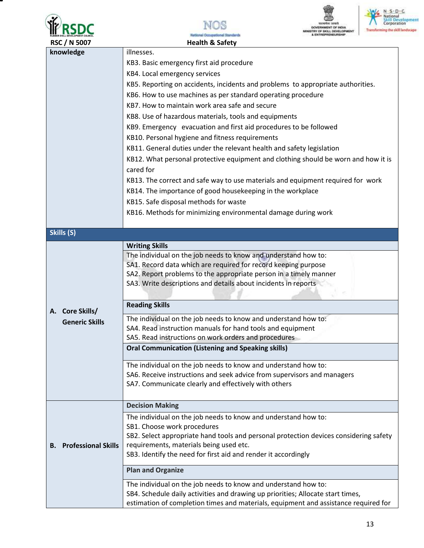







| II NJLL                          | MINISTRY OF SKILL DEVELOPMENT<br>Netional Occupational Standards                                                                    |
|----------------------------------|-------------------------------------------------------------------------------------------------------------------------------------|
| <b>RSC / N 5007</b>              | <b>Health &amp; Safety</b>                                                                                                          |
| knowledge                        | illnesses.                                                                                                                          |
|                                  | KB3. Basic emergency first aid procedure                                                                                            |
|                                  | KB4. Local emergency services                                                                                                       |
|                                  | KB5. Reporting on accidents, incidents and problems to appropriate authorities.                                                     |
|                                  | KB6. How to use machines as per standard operating procedure                                                                        |
|                                  | KB7. How to maintain work area safe and secure                                                                                      |
|                                  | KB8. Use of hazardous materials, tools and equipments                                                                               |
|                                  | KB9. Emergency evacuation and first aid procedures to be followed                                                                   |
|                                  | KB10. Personal hygiene and fitness requirements                                                                                     |
|                                  | KB11. General duties under the relevant health and safety legislation                                                               |
|                                  | KB12. What personal protective equipment and clothing should be worn and how it is                                                  |
|                                  | cared for                                                                                                                           |
|                                  | KB13. The correct and safe way to use materials and equipment required for work                                                     |
|                                  | KB14. The importance of good housekeeping in the workplace                                                                          |
|                                  | KB15. Safe disposal methods for waste                                                                                               |
|                                  | KB16. Methods for minimizing environmental damage during work                                                                       |
|                                  |                                                                                                                                     |
| Skills (S)                       |                                                                                                                                     |
|                                  | <b>Writing Skills</b>                                                                                                               |
|                                  | The individual on the job needs to know and understand how to:                                                                      |
|                                  | SA1. Record data which are required for record keeping purpose                                                                      |
|                                  | SA2. Report problems to the appropriate person in a timely manner<br>SA3. Write descriptions and details about incidents in reports |
|                                  |                                                                                                                                     |
|                                  | <b>Reading Skills</b>                                                                                                               |
| A. Core Skills/                  |                                                                                                                                     |
| <b>Generic Skills</b>            | The individual on the job needs to know and understand how to:                                                                      |
|                                  | SA4. Read instruction manuals for hand tools and equipment                                                                          |
|                                  | SA5. Read instructions on work orders and procedures<br><b>Oral Communication (Listening and Speaking skills)</b>                   |
|                                  |                                                                                                                                     |
|                                  | The individual on the job needs to know and understand how to:                                                                      |
|                                  | SA6. Receive instructions and seek advice from supervisors and managers                                                             |
|                                  | SA7. Communicate clearly and effectively with others                                                                                |
|                                  |                                                                                                                                     |
|                                  | <b>Decision Making</b>                                                                                                              |
|                                  | The individual on the job needs to know and understand how to:                                                                      |
|                                  | SB1. Choose work procedures<br>SB2. Select appropriate hand tools and personal protection devices considering safety                |
| <b>Professional Skills</b><br>В. | requirements, materials being used etc.                                                                                             |
|                                  | SB3. Identify the need for first aid and render it accordingly                                                                      |
|                                  | <b>Plan and Organize</b>                                                                                                            |
|                                  |                                                                                                                                     |
|                                  | The individual on the job needs to know and understand how to:                                                                      |
|                                  | SB4. Schedule daily activities and drawing up priorities; Allocate start times,                                                     |
|                                  | estimation of completion times and materials, equipment and assistance required for                                                 |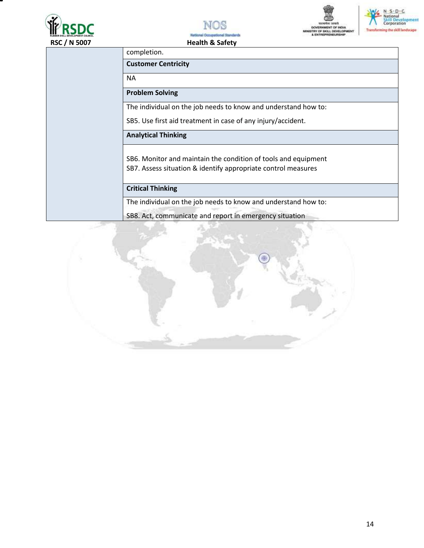







|  | completion.                                                                                                                     |
|--|---------------------------------------------------------------------------------------------------------------------------------|
|  | <b>Customer Centricity</b>                                                                                                      |
|  | <b>NA</b>                                                                                                                       |
|  | <b>Problem Solving</b>                                                                                                          |
|  | The individual on the job needs to know and understand how to:                                                                  |
|  | SB5. Use first aid treatment in case of any injury/accident.                                                                    |
|  | <b>Analytical Thinking</b>                                                                                                      |
|  | SB6. Monitor and maintain the condition of tools and equipment<br>SB7. Assess situation & identify appropriate control measures |
|  | <b>Critical Thinking</b>                                                                                                        |
|  | The individual on the job needs to know and understand how to:                                                                  |
|  | SB8. Act, communicate and report in emergency situation                                                                         |

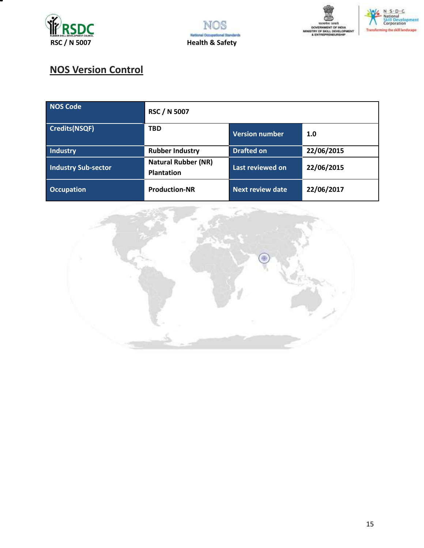







# **NOS Version Control**

| NOS Code                   | <b>RSC / N 5007</b>                             |                         |            |
|----------------------------|-------------------------------------------------|-------------------------|------------|
| Credits(NSQF)              | <b>TBD</b>                                      | <b>Version number</b>   | 1.0        |
| Industry                   | <b>Rubber Industry</b>                          | <b>Drafted on</b>       | 22/06/2015 |
| <b>Industry Sub-sector</b> | <b>Natural Rubber (NR)</b><br><b>Plantation</b> | Last reviewed on        | 22/06/2015 |
| <b>Occupation</b>          | <b>Production-NR</b>                            | <b>Next review date</b> | 22/06/2017 |

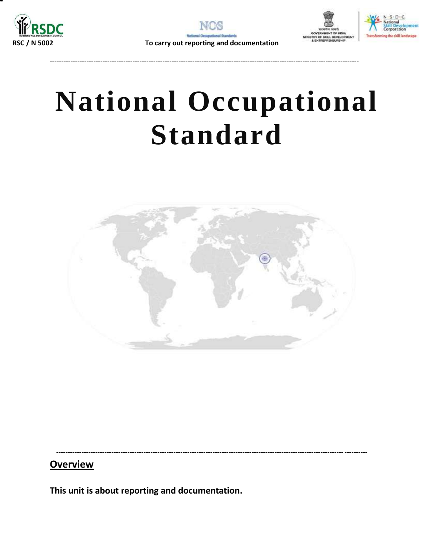







--------------------------------------------------------------------------------------------------------------------------------------

# **National Occupational Standard**

<span id="page-15-0"></span>

---------------------------------------------------------------------------------------------------------------------------------------

## **Overview**

**This unit is about reporting and documentation.**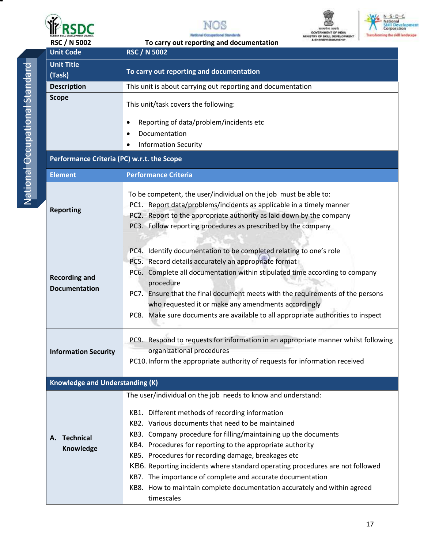







Netional Occupational Standards  **RSC / N 5002 To carry out reporting and documentation**

| l    |
|------|
|      |
|      |
| I    |
|      |
| Ï    |
|      |
|      |
|      |
|      |
|      |
| ĺ    |
|      |
|      |
| ١    |
|      |
| I    |
|      |
|      |
|      |
|      |
| ֚֚֚֬ |
|      |
|      |
|      |
|      |
| I    |
| ì    |
|      |
| ì    |
| ֠    |
|      |
|      |
|      |
|      |
|      |
|      |
|      |
|      |
|      |
|      |
|      |
|      |
|      |
|      |
|      |

| <b>Unit Title</b><br>To carry out reporting and documentation<br>(Task) |                                                                                                                                                                                                                                                                                                                                                                                                                                                                                                                                                                                                       |
|-------------------------------------------------------------------------|-------------------------------------------------------------------------------------------------------------------------------------------------------------------------------------------------------------------------------------------------------------------------------------------------------------------------------------------------------------------------------------------------------------------------------------------------------------------------------------------------------------------------------------------------------------------------------------------------------|
| <b>Description</b>                                                      | This unit is about carrying out reporting and documentation                                                                                                                                                                                                                                                                                                                                                                                                                                                                                                                                           |
| <b>Scope</b>                                                            | This unit/task covers the following:<br>Reporting of data/problem/incidents etc<br>Documentation<br><b>Information Security</b>                                                                                                                                                                                                                                                                                                                                                                                                                                                                       |
| Performance Criteria (PC) w.r.t. the Scope                              |                                                                                                                                                                                                                                                                                                                                                                                                                                                                                                                                                                                                       |
| <b>Element</b>                                                          | <b>Performance Criteria</b>                                                                                                                                                                                                                                                                                                                                                                                                                                                                                                                                                                           |
| <b>Reporting</b>                                                        | To be competent, the user/individual on the job must be able to:<br>PC1. Report data/problems/incidents as applicable in a timely manner<br>PC2. Report to the appropriate authority as laid down by the company<br>PC3. Follow reporting procedures as prescribed by the company                                                                                                                                                                                                                                                                                                                     |
| <b>Recording and</b><br><b>Documentation</b>                            | PC4. Identify documentation to be completed relating to one's role<br>PC5. Record details accurately an appropriate format<br>PC6. Complete all documentation within stipulated time according to company<br>procedure<br>PC7. Ensure that the final document meets with the requirements of the persons<br>who requested it or make any amendments accordingly<br>PC8. Make sure documents are available to all appropriate authorities to inspect                                                                                                                                                   |
| <b>Information Security</b>                                             | PC9. Respond to requests for information in an appropriate manner whilst following<br>organizational procedures<br>PC10. Inform the appropriate authority of requests for information received                                                                                                                                                                                                                                                                                                                                                                                                        |
| <b>Knowledge and Understanding (K)</b>                                  |                                                                                                                                                                                                                                                                                                                                                                                                                                                                                                                                                                                                       |
| <b>Technical</b><br>А.<br>Knowledge                                     | The user/individual on the job needs to know and understand:<br>KB1. Different methods of recording information<br>KB2. Various documents that need to be maintained<br>KB3. Company procedure for filling/maintaining up the documents<br>KB4. Procedures for reporting to the appropriate authority<br>KB5. Procedures for recording damage, breakages etc<br>KB6. Reporting incidents where standard operating procedures are not followed<br>KB7. The importance of complete and accurate documentation<br>KB8. How to maintain complete documentation accurately and within agreed<br>timescales |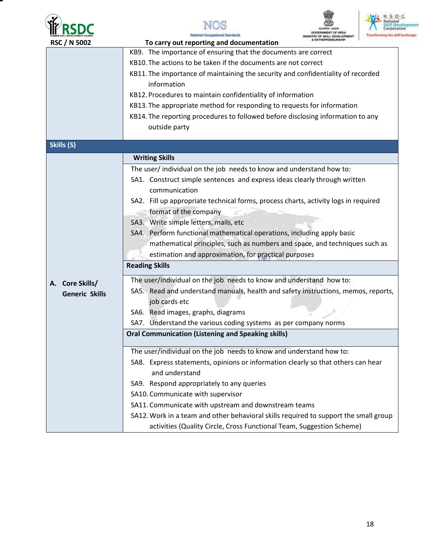

т







| RUBBER SKILL DEVELOPMENT COUNCIL<br><b>RSC / N 5002</b> | Netional Occupational Standards<br><b>Transforming the skill</b><br><b>ISTRY OF SKILL DEVELOPMENT</b><br>To carry out reporting and documentation |  |  |  |
|---------------------------------------------------------|---------------------------------------------------------------------------------------------------------------------------------------------------|--|--|--|
|                                                         | KB9. The importance of ensuring that the documents are correct                                                                                    |  |  |  |
|                                                         | KB10. The actions to be taken if the documents are not correct                                                                                    |  |  |  |
|                                                         | KB11. The importance of maintaining the security and confidentiality of recorded                                                                  |  |  |  |
|                                                         | information                                                                                                                                       |  |  |  |
|                                                         | KB12. Procedures to maintain confidentiality of information                                                                                       |  |  |  |
|                                                         | KB13. The appropriate method for responding to requests for information                                                                           |  |  |  |
|                                                         | KB14. The reporting procedures to followed before disclosing information to any                                                                   |  |  |  |
|                                                         | outside party                                                                                                                                     |  |  |  |
| Skills (S)                                              |                                                                                                                                                   |  |  |  |
|                                                         | <b>Writing Skills</b>                                                                                                                             |  |  |  |
|                                                         | The user/individual on the job needs to know and understand how to:                                                                               |  |  |  |
|                                                         | SA1. Construct simple sentences and express ideas clearly through written                                                                         |  |  |  |
|                                                         | communication                                                                                                                                     |  |  |  |
|                                                         | SA2. Fill up appropriate technical forms, process charts, activity logs in required                                                               |  |  |  |
|                                                         | format of the company                                                                                                                             |  |  |  |
|                                                         | SA3. Write simple letters, mails, etc                                                                                                             |  |  |  |
|                                                         | SA4. Perform functional mathematical operations, including apply basic                                                                            |  |  |  |
|                                                         | mathematical principles, such as numbers and space, and techniques such as                                                                        |  |  |  |
|                                                         | estimation and approximation, for practical purposes                                                                                              |  |  |  |
|                                                         | <b>Reading Skills</b>                                                                                                                             |  |  |  |
| A. Core Skills/                                         | The user/individual on the job needs to know and understand how to:                                                                               |  |  |  |
| <b>Generic Skills</b>                                   | SA5. Read and understand manuals, health and safety instructions, memos, reports,                                                                 |  |  |  |
|                                                         | job cards etc                                                                                                                                     |  |  |  |
|                                                         | SA6. Read images, graphs, diagrams                                                                                                                |  |  |  |
|                                                         | SA7. Understand the various coding systems as per company norms                                                                                   |  |  |  |
|                                                         | <b>Oral Communication (Listening and Speaking skills)</b>                                                                                         |  |  |  |
|                                                         | The user/individual on the job needs to know and understand how to:                                                                               |  |  |  |
|                                                         | SA8. Express statements, opinions or information clearly so that others can hear                                                                  |  |  |  |
|                                                         | and understand                                                                                                                                    |  |  |  |
|                                                         | SA9. Respond appropriately to any queries                                                                                                         |  |  |  |
|                                                         | SA10. Communicate with supervisor                                                                                                                 |  |  |  |
|                                                         | SA11. Communicate with upstream and downstream teams                                                                                              |  |  |  |
|                                                         | SA12. Work in a team and other behavioral skills required to support the small group                                                              |  |  |  |
|                                                         | activities (Quality Circle, Cross Functional Team, Suggestion Scheme)                                                                             |  |  |  |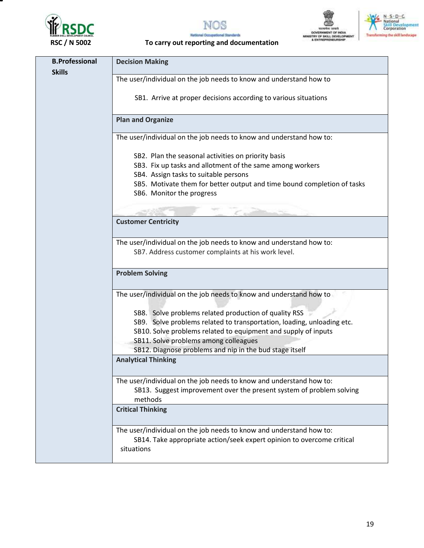







### **RSC / N 5002 To carry out reporting and documentation**

| <b>B.Professional</b><br><b>Skills</b> | <b>Decision Making</b>                                                                                                                                                                                                                                                                                                                                                      |
|----------------------------------------|-----------------------------------------------------------------------------------------------------------------------------------------------------------------------------------------------------------------------------------------------------------------------------------------------------------------------------------------------------------------------------|
|                                        | The user/individual on the job needs to know and understand how to                                                                                                                                                                                                                                                                                                          |
|                                        | SB1. Arrive at proper decisions according to various situations                                                                                                                                                                                                                                                                                                             |
|                                        | <b>Plan and Organize</b>                                                                                                                                                                                                                                                                                                                                                    |
|                                        | The user/individual on the job needs to know and understand how to:                                                                                                                                                                                                                                                                                                         |
|                                        | SB2. Plan the seasonal activities on priority basis<br>SB3. Fix up tasks and allotment of the same among workers<br>SB4. Assign tasks to suitable persons                                                                                                                                                                                                                   |
|                                        | SB5. Motivate them for better output and time bound completion of tasks<br>SB6. Monitor the progress                                                                                                                                                                                                                                                                        |
|                                        |                                                                                                                                                                                                                                                                                                                                                                             |
|                                        | <b>Customer Centricity</b>                                                                                                                                                                                                                                                                                                                                                  |
|                                        | The user/individual on the job needs to know and understand how to:<br>SB7. Address customer complaints at his work level.                                                                                                                                                                                                                                                  |
|                                        | <b>Problem Solving</b>                                                                                                                                                                                                                                                                                                                                                      |
|                                        | The user/individual on the job needs to know and understand how to<br>SB8. Solve problems related production of quality RSS<br>SB9. Solve problems related to transportation, loading, unloading etc.<br>SB10. Solve problems related to equipment and supply of inputs<br>SB11. Solve problems among colleagues<br>SB12. Diagnose problems and nip in the bud stage itself |
|                                        | <b>Analytical Thinking</b>                                                                                                                                                                                                                                                                                                                                                  |
|                                        | The user/individual on the job needs to know and understand how to:<br>SB13. Suggest improvement over the present system of problem solving<br>methods                                                                                                                                                                                                                      |
|                                        | <b>Critical Thinking</b>                                                                                                                                                                                                                                                                                                                                                    |
|                                        | The user/individual on the job needs to know and understand how to:<br>SB14. Take appropriate action/seek expert opinion to overcome critical<br>situations                                                                                                                                                                                                                 |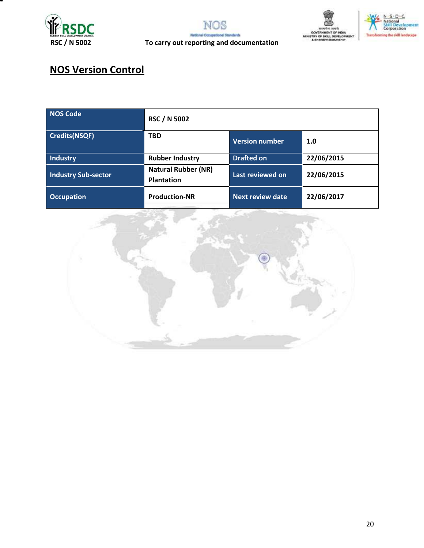





# **NOS Version Control**

| NOS Code                   | <b>RSC / N 5002</b>                             |                         |            |
|----------------------------|-------------------------------------------------|-------------------------|------------|
| Credits(NSQF)              | <b>TBD</b>                                      | <b>Version number</b>   | 1.0        |
| Industry                   | <b>Rubber Industry</b>                          | <b>Drafted on</b>       | 22/06/2015 |
| <b>Industry Sub-sector</b> | <b>Natural Rubber (NR)</b><br><b>Plantation</b> | Last reviewed on        | 22/06/2015 |
| <b>Occupation</b>          | <b>Production-NR</b>                            | <b>Next review date</b> | 22/06/2017 |

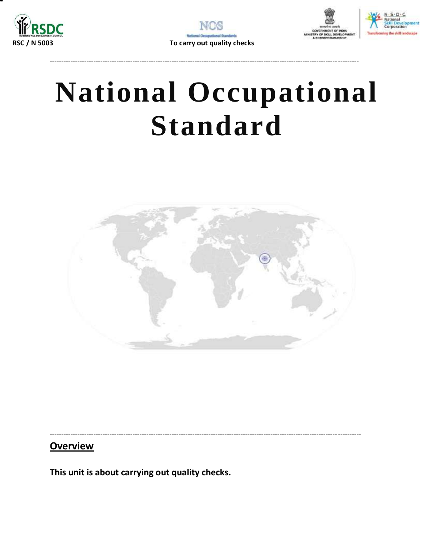







# **National Occupational Standard**

<span id="page-20-0"></span>

## **Overview**

This unit is about carrying out quality checks.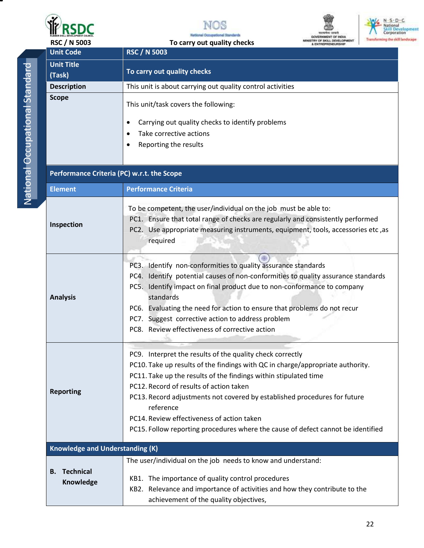







|                                | <b>RSC / N 5003</b>                        | To carry out quality checks                                                                                                                                                                                                                                                                                                                                                                                                                                                            |  |  |  |
|--------------------------------|--------------------------------------------|----------------------------------------------------------------------------------------------------------------------------------------------------------------------------------------------------------------------------------------------------------------------------------------------------------------------------------------------------------------------------------------------------------------------------------------------------------------------------------------|--|--|--|
|                                | <b>Unit Code</b>                           | <b>RSC / N 5003</b>                                                                                                                                                                                                                                                                                                                                                                                                                                                                    |  |  |  |
|                                | <b>Unit Title</b><br>(Task)                | To carry out quality checks                                                                                                                                                                                                                                                                                                                                                                                                                                                            |  |  |  |
|                                | <b>Description</b>                         | This unit is about carrying out quality control activities                                                                                                                                                                                                                                                                                                                                                                                                                             |  |  |  |
| National Occupational Standard | <b>Scope</b>                               | This unit/task covers the following:<br>Carrying out quality checks to identify problems<br>Take corrective actions<br>Reporting the results                                                                                                                                                                                                                                                                                                                                           |  |  |  |
|                                | Performance Criteria (PC) w.r.t. the Scope |                                                                                                                                                                                                                                                                                                                                                                                                                                                                                        |  |  |  |
|                                | <b>Element</b>                             | <b>Performance Criteria</b>                                                                                                                                                                                                                                                                                                                                                                                                                                                            |  |  |  |
|                                | Inspection                                 | To be competent, the user/individual on the job must be able to:<br>PC1. Ensure that total range of checks are regularly and consistently performed<br>PC2. Use appropriate measuring instruments, equipment, tools, accessories etc, as<br>required                                                                                                                                                                                                                                   |  |  |  |
|                                | <b>Analysis</b>                            | PC3. Identify non-conformities to quality assurance standards<br>PC4. Identify potential causes of non-conformities to quality assurance standards<br>PC5. Identify impact on final product due to non-conformance to company<br>standards<br>PC6. Evaluating the need for action to ensure that problems do not recur<br>PC7. Suggest corrective action to address problem<br>PC8. Review effectiveness of corrective action                                                          |  |  |  |
|                                | <b>Reporting</b>                           | PC9. Interpret the results of the quality check correctly<br>PC10. Take up results of the findings with QC in charge/appropriate authority.<br>PC11. Take up the results of the findings within stipulated time<br>PC12. Record of results of action taken<br>PC13. Record adjustments not covered by established procedures for future<br>reference<br>PC14. Review effectiveness of action taken<br>PC15. Follow reporting procedures where the cause of defect cannot be identified |  |  |  |
|                                | <b>Knowledge and Understanding (K)</b>     |                                                                                                                                                                                                                                                                                                                                                                                                                                                                                        |  |  |  |
|                                | <b>Technical</b><br>В.<br>Knowledge        | The user/individual on the job needs to know and understand:<br>KB1. The importance of quality control procedures<br>KB2. Relevance and importance of activities and how they contribute to the<br>achievement of the quality objectives,                                                                                                                                                                                                                                              |  |  |  |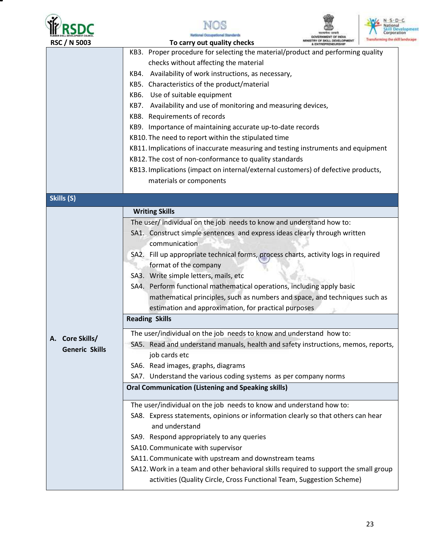



Nat nal Standards



| <b>RSC / N 5003</b>   | To carry out quality checks<br>MINISTRY OF SKILL DEVELOPMENT<br><b>FURLISHED LITHUARD STATE SWITH</b> |  |
|-----------------------|-------------------------------------------------------------------------------------------------------|--|
|                       | KB3. Proper procedure for selecting the material/product and performing quality                       |  |
|                       | checks without affecting the material                                                                 |  |
|                       | KB4. Availability of work instructions, as necessary,                                                 |  |
|                       | KB5. Characteristics of the product/material                                                          |  |
|                       | KB6. Use of suitable equipment                                                                        |  |
|                       | KB7. Availability and use of monitoring and measuring devices,                                        |  |
|                       | KB8. Requirements of records                                                                          |  |
|                       | KB9. Importance of maintaining accurate up-to-date records                                            |  |
|                       | KB10. The need to report within the stipulated time                                                   |  |
|                       | KB11. Implications of inaccurate measuring and testing instruments and equipment                      |  |
|                       | KB12. The cost of non-conformance to quality standards                                                |  |
|                       | KB13. Implications (impact on internal/external customers) of defective products,                     |  |
|                       | materials or components                                                                               |  |
| Skills (S)            |                                                                                                       |  |
|                       | <b>Writing Skills</b>                                                                                 |  |
|                       | The user/ individual on the job needs to know and understand how to:                                  |  |
|                       | SA1. Construct simple sentences and express ideas clearly through written                             |  |
|                       | communication                                                                                         |  |
|                       | SA2. Fill up appropriate technical forms, process charts, activity logs in required                   |  |
|                       | format of the company                                                                                 |  |
|                       | SA3. Write simple letters, mails, etc                                                                 |  |
|                       | SA4. Perform functional mathematical operations, including apply basic                                |  |
|                       | mathematical principles, such as numbers and space, and techniques such as                            |  |
|                       | estimation and approximation, for practical purposes                                                  |  |
|                       | <b>Reading Skills</b>                                                                                 |  |
| A. Core Skills/       | The user/individual on the job needs to know and understand how to:                                   |  |
| <b>Generic Skills</b> | SA5. Read and understand manuals, health and safety instructions, memos, reports,                     |  |
|                       | job cards etc                                                                                         |  |
|                       | SA6. Read images, graphs, diagrams                                                                    |  |
|                       | SA7. Understand the various coding systems as per company norms                                       |  |
|                       | <b>Oral Communication (Listening and Speaking skills)</b>                                             |  |
|                       | The user/individual on the job needs to know and understand how to:                                   |  |
|                       | SA8. Express statements, opinions or information clearly so that others can hear                      |  |
|                       | and understand                                                                                        |  |
|                       | SA9. Respond appropriately to any queries                                                             |  |
|                       | SA10. Communicate with supervisor                                                                     |  |
|                       | SA11. Communicate with upstream and downstream teams                                                  |  |
|                       | SA12. Work in a team and other behavioral skills required to support the small group                  |  |
|                       | activities (Quality Circle, Cross Functional Team, Suggestion Scheme)                                 |  |
|                       |                                                                                                       |  |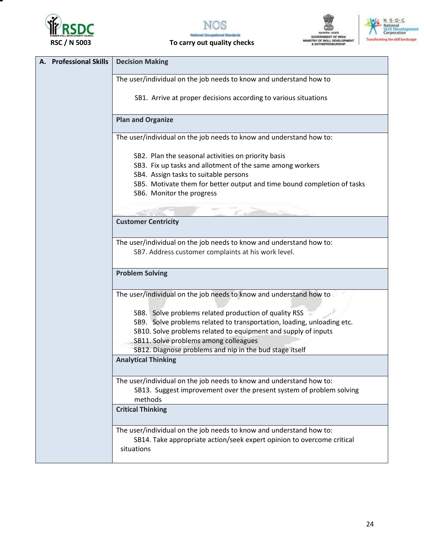

т







### **RSC / N 5003 To carry out quality checks**

| A. Professional Skills<br><b>Decision Making</b>                                                                                                            |  |
|-------------------------------------------------------------------------------------------------------------------------------------------------------------|--|
| The user/individual on the job needs to know and understand how to                                                                                          |  |
| SB1. Arrive at proper decisions according to various situations                                                                                             |  |
| <b>Plan and Organize</b>                                                                                                                                    |  |
| The user/individual on the job needs to know and understand how to:                                                                                         |  |
| SB2. Plan the seasonal activities on priority basis                                                                                                         |  |
| SB3. Fix up tasks and allotment of the same among workers<br>SB4. Assign tasks to suitable persons                                                          |  |
| SB5. Motivate them for better output and time bound completion of tasks                                                                                     |  |
| SB6. Monitor the progress                                                                                                                                   |  |
|                                                                                                                                                             |  |
| <b>Customer Centricity</b>                                                                                                                                  |  |
| The user/individual on the job needs to know and understand how to:                                                                                         |  |
| SB7. Address customer complaints at his work level.                                                                                                         |  |
| <b>Problem Solving</b>                                                                                                                                      |  |
| The user/individual on the job needs to know and understand how to                                                                                          |  |
| SB8. Solve problems related production of quality RSS                                                                                                       |  |
| SB9. Solve problems related to transportation, loading, unloading etc.                                                                                      |  |
| SB10. Solve problems related to equipment and supply of inputs                                                                                              |  |
| SB11. Solve problems among colleagues                                                                                                                       |  |
| SB12. Diagnose problems and nip in the bud stage itself                                                                                                     |  |
| <b>Analytical Thinking</b>                                                                                                                                  |  |
| The user/individual on the job needs to know and understand how to:<br>SB13. Suggest improvement over the present system of problem solving<br>methods      |  |
| <b>Critical Thinking</b>                                                                                                                                    |  |
| The user/individual on the job needs to know and understand how to:<br>SB14. Take appropriate action/seek expert opinion to overcome critical<br>situations |  |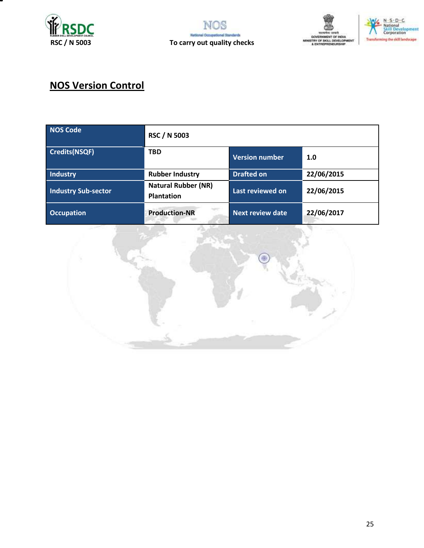







# **NOS Version Control**

| <b>NOS Code</b>            | <b>RSC / N 5003</b>                             |                       |            |
|----------------------------|-------------------------------------------------|-----------------------|------------|
| <b>Credits(NSQF)</b>       | <b>TBD</b>                                      | <b>Version number</b> | 1.0        |
| <b>Industry</b>            | <b>Rubber Industry</b>                          | <b>Drafted on</b>     | 22/06/2015 |
| <b>Industry Sub-sector</b> | <b>Natural Rubber (NR)</b><br><b>Plantation</b> | Last reviewed on      | 22/06/2015 |
| <b>Occupation</b>          | <b>Production-NR</b>                            | Next review date      | 22/06/2017 |

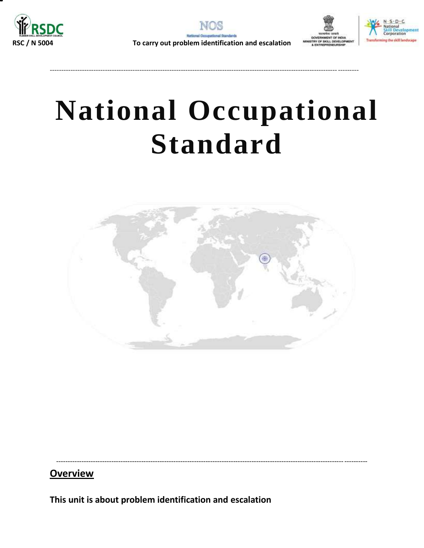







--------------------------------------------------------------------------------------------------------------------------------------

# **National Occupational Standard**

<span id="page-25-0"></span>

---------------------------------------------------------------------------------------------------------------------------------------

# **Overview**

**This unit is about problem identification and escalation**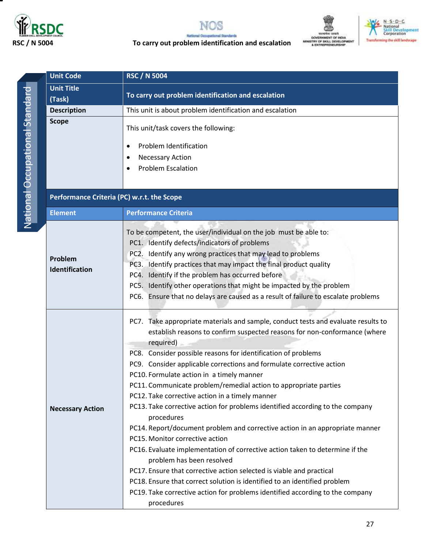



# EINITH GENT<br>GOVERNMENT OF INDIA<br>MINISTRY OF SKILL DEVELOPMENT<br>& ENTREPRENEURISHIP



National Occupational Standard National Occupational Standard

| <b>Unit Code</b>                           | <b>RSC / N 5004</b>                                                                                                                                                                                                                                                                                                                                                                                                                                                                                                                                                                                                                                                                                                                                                                                                                                                                                                                                                                                                                                                         |  |  |
|--------------------------------------------|-----------------------------------------------------------------------------------------------------------------------------------------------------------------------------------------------------------------------------------------------------------------------------------------------------------------------------------------------------------------------------------------------------------------------------------------------------------------------------------------------------------------------------------------------------------------------------------------------------------------------------------------------------------------------------------------------------------------------------------------------------------------------------------------------------------------------------------------------------------------------------------------------------------------------------------------------------------------------------------------------------------------------------------------------------------------------------|--|--|
| <b>Unit Title</b>                          | To carry out problem identification and escalation                                                                                                                                                                                                                                                                                                                                                                                                                                                                                                                                                                                                                                                                                                                                                                                                                                                                                                                                                                                                                          |  |  |
| (Task)                                     |                                                                                                                                                                                                                                                                                                                                                                                                                                                                                                                                                                                                                                                                                                                                                                                                                                                                                                                                                                                                                                                                             |  |  |
| <b>Description</b>                         | This unit is about problem identification and escalation                                                                                                                                                                                                                                                                                                                                                                                                                                                                                                                                                                                                                                                                                                                                                                                                                                                                                                                                                                                                                    |  |  |
| <b>Scope</b>                               | This unit/task covers the following:<br>Problem Identification<br>٠<br><b>Necessary Action</b><br>٠<br><b>Problem Escalation</b>                                                                                                                                                                                                                                                                                                                                                                                                                                                                                                                                                                                                                                                                                                                                                                                                                                                                                                                                            |  |  |
| Performance Criteria (PC) w.r.t. the Scope |                                                                                                                                                                                                                                                                                                                                                                                                                                                                                                                                                                                                                                                                                                                                                                                                                                                                                                                                                                                                                                                                             |  |  |
| <b>Element</b>                             | <b>Performance Criteria</b>                                                                                                                                                                                                                                                                                                                                                                                                                                                                                                                                                                                                                                                                                                                                                                                                                                                                                                                                                                                                                                                 |  |  |
| Problem<br>Identification                  | To be competent, the user/individual on the job must be able to:<br>PC1. Identify defects/indicators of problems<br>PC2. Identify any wrong practices that may lead to problems<br>PC3. Identify practices that may impact the final product quality<br>PC4. Identify if the problem has occurred before<br>PC5. Identify other operations that might be impacted by the problem<br>PC6. Ensure that no delays are caused as a result of failure to escalate problems                                                                                                                                                                                                                                                                                                                                                                                                                                                                                                                                                                                                       |  |  |
| <b>Necessary Action</b>                    | PC7. Take appropriate materials and sample, conduct tests and evaluate results to<br>establish reasons to confirm suspected reasons for non-conformance (where<br>required)<br>PC8. Consider possible reasons for identification of problems<br>PC9. Consider applicable corrections and formulate corrective action<br>PC10. Formulate action in a timely manner<br>PC11. Communicate problem/remedial action to appropriate parties<br>PC12. Take corrective action in a timely manner<br>PC13. Take corrective action for problems identified according to the company<br>procedures<br>PC14. Report/document problem and corrective action in an appropriate manner<br>PC15. Monitor corrective action<br>PC16. Evaluate implementation of corrective action taken to determine if the<br>problem has been resolved<br>PC17. Ensure that corrective action selected is viable and practical<br>PC18. Ensure that correct solution is identified to an identified problem<br>PC19. Take corrective action for problems identified according to the company<br>procedures |  |  |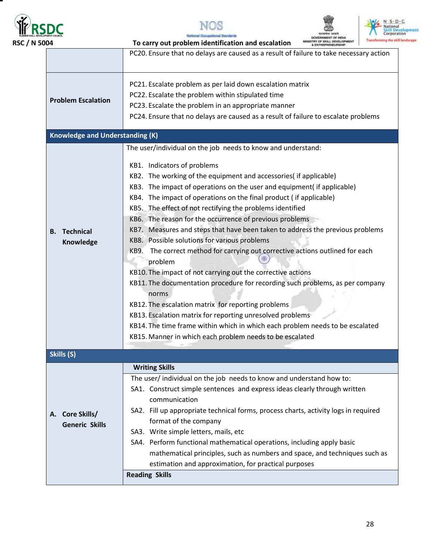

▀



al Standards Nat al Occup





| 04                                                 | Transforming the skil<br>To carry out problem identification and escalation                                                                                                                                                                                                                                                                                                                                                                                                                                                                                                                                                                                                                                                                                                                                                                                                                                                                                                                                                                                                                       |
|----------------------------------------------------|---------------------------------------------------------------------------------------------------------------------------------------------------------------------------------------------------------------------------------------------------------------------------------------------------------------------------------------------------------------------------------------------------------------------------------------------------------------------------------------------------------------------------------------------------------------------------------------------------------------------------------------------------------------------------------------------------------------------------------------------------------------------------------------------------------------------------------------------------------------------------------------------------------------------------------------------------------------------------------------------------------------------------------------------------------------------------------------------------|
|                                                    | PC20. Ensure that no delays are caused as a result of failure to take necessary action                                                                                                                                                                                                                                                                                                                                                                                                                                                                                                                                                                                                                                                                                                                                                                                                                                                                                                                                                                                                            |
| <b>Problem Escalation</b>                          | PC21. Escalate problem as per laid down escalation matrix<br>PC22. Escalate the problem within stipulated time<br>PC23. Escalate the problem in an appropriate manner<br>PC24. Ensure that no delays are caused as a result of failure to escalate problems                                                                                                                                                                                                                                                                                                                                                                                                                                                                                                                                                                                                                                                                                                                                                                                                                                       |
| <b>Knowledge and Understanding (K)</b>             |                                                                                                                                                                                                                                                                                                                                                                                                                                                                                                                                                                                                                                                                                                                                                                                                                                                                                                                                                                                                                                                                                                   |
| <b>Technical</b><br><b>B.</b><br>Knowledge         | The user/individual on the job needs to know and understand:<br>KB1. Indicators of problems<br>KB2. The working of the equipment and accessories(if applicable)<br>KB3. The impact of operations on the user and equipment( if applicable)<br>KB4. The impact of operations on the final product (if applicable)<br>KB5. The effect of not rectifying the problems identified<br>KB6. The reason for the occurrence of previous problems<br>KB7. Measures and steps that have been taken to address the previous problems<br>KB8. Possible solutions for various problems<br>The correct method for carrying out corrective actions outlined for each<br>KB9.<br>problem<br>KB10. The impact of not carrying out the corrective actions<br>KB11. The documentation procedure for recording such problems, as per company<br>norms<br>KB12. The escalation matrix for reporting problems<br>KB13. Escalation matrix for reporting unresolved problems<br>KB14. The time frame within which in which each problem needs to be escalated<br>KB15. Manner in which each problem needs to be escalated |
| Skills (S)                                         |                                                                                                                                                                                                                                                                                                                                                                                                                                                                                                                                                                                                                                                                                                                                                                                                                                                                                                                                                                                                                                                                                                   |
| <b>Core Skills/</b><br>А.<br><b>Generic Skills</b> | <b>Writing Skills</b><br>The user/ individual on the job needs to know and understand how to:<br>SA1. Construct simple sentences and express ideas clearly through written<br>communication<br>SA2. Fill up appropriate technical forms, process charts, activity logs in required<br>format of the company<br>SA3. Write simple letters, mails, etc<br>SA4. Perform functional mathematical operations, including apply basic<br>mathematical principles, such as numbers and space, and techniques such as<br>estimation and approximation, for practical purposes<br><b>Reading Skills</b>                                                                                                                                                                                                                                                                                                                                                                                                                                                                                                     |
|                                                    |                                                                                                                                                                                                                                                                                                                                                                                                                                                                                                                                                                                                                                                                                                                                                                                                                                                                                                                                                                                                                                                                                                   |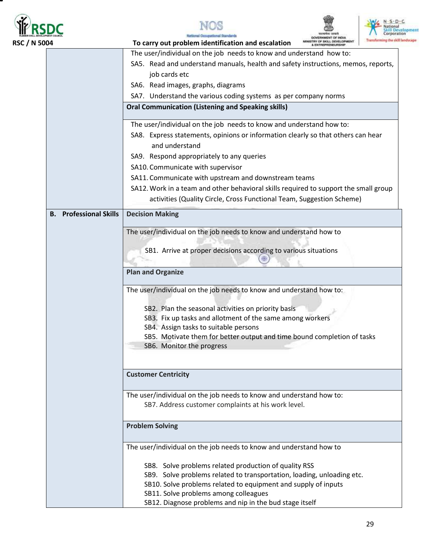



Nat





GOVE

| RSC / N 5004 |                               | To carry out problem identification and escalation<br>Economic condition and content<br>MINISTRY OF SKILL DEVELOPMENT |  |  |  |
|--------------|-------------------------------|-----------------------------------------------------------------------------------------------------------------------|--|--|--|
|              |                               | The user/individual on the job needs to know and understand how to:                                                   |  |  |  |
|              |                               | SA5. Read and understand manuals, health and safety instructions, memos, reports,                                     |  |  |  |
|              |                               | job cards etc                                                                                                         |  |  |  |
|              |                               | SA6. Read images, graphs, diagrams                                                                                    |  |  |  |
|              |                               | SA7. Understand the various coding systems as per company norms                                                       |  |  |  |
|              |                               | <b>Oral Communication (Listening and Speaking skills)</b>                                                             |  |  |  |
|              |                               | The user/individual on the job needs to know and understand how to:                                                   |  |  |  |
|              |                               | SA8. Express statements, opinions or information clearly so that others can hear                                      |  |  |  |
|              |                               | and understand                                                                                                        |  |  |  |
|              |                               | SA9. Respond appropriately to any queries                                                                             |  |  |  |
|              |                               | SA10. Communicate with supervisor                                                                                     |  |  |  |
|              |                               | SA11. Communicate with upstream and downstream teams                                                                  |  |  |  |
|              |                               | SA12. Work in a team and other behavioral skills required to support the small group                                  |  |  |  |
|              |                               | activities (Quality Circle, Cross Functional Team, Suggestion Scheme)                                                 |  |  |  |
|              | <b>B.</b> Professional Skills | <b>Decision Making</b>                                                                                                |  |  |  |
|              |                               | The user/individual on the job needs to know and understand how to                                                    |  |  |  |
|              |                               | SB1. Arrive at proper decisions according to various situations                                                       |  |  |  |
|              |                               | <b>Plan and Organize</b>                                                                                              |  |  |  |
|              |                               | The user/individual on the job needs to know and understand how to:                                                   |  |  |  |
|              |                               | SB2. Plan the seasonal activities on priority basis                                                                   |  |  |  |
|              |                               | SB3. Fix up tasks and allotment of the same among workers                                                             |  |  |  |
|              |                               | SB4. Assign tasks to suitable persons                                                                                 |  |  |  |
|              |                               | SB5. Motivate them for better output and time bound completion of tasks<br>SB6. Monitor the progress                  |  |  |  |
|              |                               | <b>Customer Centricity</b>                                                                                            |  |  |  |
|              |                               | The user/individual on the job needs to know and understand how to:                                                   |  |  |  |
|              |                               | SB7. Address customer complaints at his work level.                                                                   |  |  |  |
|              |                               | <b>Problem Solving</b>                                                                                                |  |  |  |
|              |                               | The user/individual on the job needs to know and understand how to                                                    |  |  |  |
|              |                               | SB8. Solve problems related production of quality RSS                                                                 |  |  |  |
|              |                               | SB9. Solve problems related to transportation, loading, unloading etc.                                                |  |  |  |
|              |                               | SB10. Solve problems related to equipment and supply of inputs                                                        |  |  |  |
|              |                               | SB11. Solve problems among colleagues                                                                                 |  |  |  |
|              |                               | SB12. Diagnose problems and nip in the bud stage itself                                                               |  |  |  |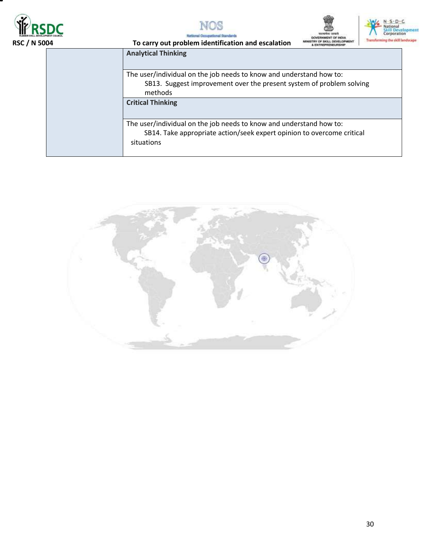





| 004 | To carry out problem identification and escalation                                   |
|-----|--------------------------------------------------------------------------------------|
|     | <b>Analytical Thinking</b>                                                           |
|     | The user/individual on the job needs to know and understand how to:                  |
|     | SB13. Suggest improvement over the present system of problem solving<br>methods      |
|     | <b>Critical Thinking</b>                                                             |
|     | The user/individual on the job needs to know and understand how to:                  |
|     | SB14. Take appropriate action/seek expert opinion to overcome critical<br>situations |
|     |                                                                                      |

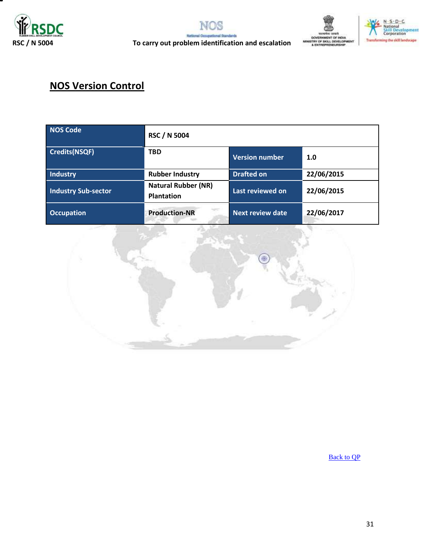







### **RSC / N 5004 To carry out problem identification and escalation**

# **NOS Version Control**

| <b>NOS Code</b>            | <b>RSC / N 5004</b>                             |                         |            |
|----------------------------|-------------------------------------------------|-------------------------|------------|
| <b>Credits(NSQF)</b>       | <b>TBD</b>                                      | <b>Version number</b>   | 1.0        |
| <b>Industry</b>            | <b>Rubber Industry</b>                          | <b>Drafted on</b>       | 22/06/2015 |
| <b>Industry Sub-sector</b> | <b>Natural Rubber (NR)</b><br><b>Plantation</b> | Last reviewed on        | 22/06/2015 |
| <b>Occupation</b>          | <b>Production-NR</b>                            | <b>Next review date</b> | 22/06/2017 |



[Back to QP](#page-1-0)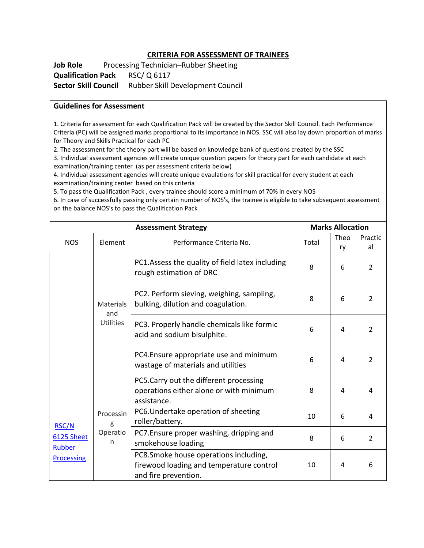#### **CRITERIA FOR ASSESSMENT OF TRAINEES**

**Job Role** Processing Technician–Rubber Sheeting **Qualification Pack** RSC/ Q 6117 **Sector Skill Council** Rubber Skill Development Council

#### **Guidelines for Assessment**

1. Criteria for assessment for each Qualification Pack will be created by the Sector Skill Council. Each Performance Criteria (PC) will be assigned marks proportional to its importance in NOS. SSC will also lay down proportion of marks for Theory and Skills Practical for each PC

2. The assessment for the theory part will be based on knowledge bank of questions created by the SSC

3. Individual assessment agencies will create unique question papers for theory part for each candidate at each examination/training center (as per assessment criteria below)

4. Individual assessment agencies will create unique evaulations for skill practical for every student at each examination/training center based on this criteria

5. To pass the Qualification Pack , every trainee should score a minimum of 70% in every NOS

6. In case of successfully passing only certain number of NOS's, the trainee is eligible to take subsequent assessment on the balance NOS's to pass the Qualification Pack

|                                      | <b>Assessment Strategy</b>                  |                                                                                                           |       | <b>Marks Allocation</b> |                |  |
|--------------------------------------|---------------------------------------------|-----------------------------------------------------------------------------------------------------------|-------|-------------------------|----------------|--|
| <b>NOS</b>                           | Element                                     | Performance Criteria No.                                                                                  | Total | Theo<br>ry              | Practic<br>al  |  |
|                                      | <b>Materials</b><br>and<br><b>Utilities</b> | PC1.Assess the quality of field latex including<br>rough estimation of DRC                                | 8     | 6                       | 2              |  |
|                                      |                                             | PC2. Perform sieving, weighing, sampling,<br>bulking, dilution and coagulation.                           | 8     | 6                       | 2              |  |
|                                      |                                             | PC3. Properly handle chemicals like formic<br>acid and sodium bisulphite.                                 | 6     | 4                       | $\overline{2}$ |  |
|                                      |                                             | PC4. Ensure appropriate use and minimum<br>wastage of materials and utilities                             | 6     | 4                       | 2              |  |
| <b>RSC/N</b><br>6125 Sheet<br>Rubber |                                             | PC5.Carry out the different processing<br>operations either alone or with minimum<br>assistance.          | 8     | 4                       | 4              |  |
|                                      | Processin<br>g<br>Operatio<br>n             | PC6. Undertake operation of sheeting<br>roller/battery.                                                   | 10    | 6                       | 4              |  |
|                                      |                                             | PC7. Ensure proper washing, dripping and<br>smokehouse loading                                            | 8     | 6                       | $\overline{2}$ |  |
| <b>Processing</b>                    |                                             | PC8.Smoke house operations including,<br>firewood loading and temperature control<br>and fire prevention. | 10    | 4                       | 6              |  |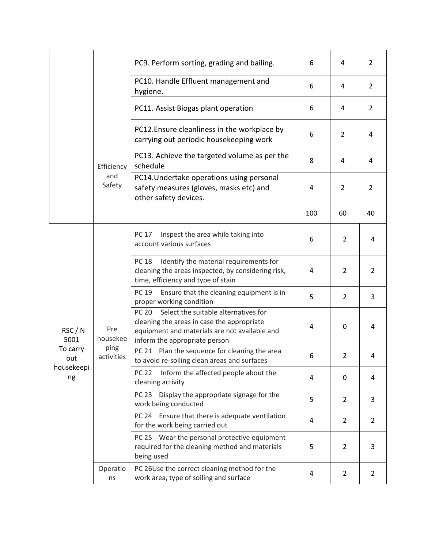|                  |                                       | PC9. Perform sorting, grading and bailing.                                                                                                                                           | 6   | 4              | $\overline{2}$ |
|------------------|---------------------------------------|--------------------------------------------------------------------------------------------------------------------------------------------------------------------------------------|-----|----------------|----------------|
|                  |                                       | PC10. Handle Effluent management and<br>hygiene.                                                                                                                                     | 6   | 4              | $\overline{2}$ |
|                  |                                       | PC11. Assist Biogas plant operation                                                                                                                                                  | 6   | 4              | $\overline{2}$ |
|                  |                                       | PC12. Ensure cleanliness in the workplace by<br>carrying out periodic housekeeping work                                                                                              | 6   | $\overline{2}$ | 4              |
|                  | Efficiency                            | PC13. Achieve the targeted volume as per the<br>schedule                                                                                                                             | 8   | 4              | 4              |
|                  | and<br>Safety                         | PC14. Undertake operations using personal<br>safety measures (gloves, masks etc) and<br>other safety devices.                                                                        | 4   | $\overline{2}$ | $\overline{2}$ |
|                  |                                       |                                                                                                                                                                                      | 100 | 60             | 40             |
|                  |                                       | <b>PC 17</b><br>Inspect the area while taking into<br>account various surfaces                                                                                                       | 6   | $\overline{2}$ | 4              |
|                  | Pre<br>housekee<br>ping<br>activities | Identify the material requirements for<br><b>PC 18</b><br>cleaning the areas inspected, by considering risk,<br>time, efficiency and type of stain                                   | 4   | $\overline{2}$ | $\overline{2}$ |
|                  |                                       | PC 19<br>Ensure that the cleaning equipment is in<br>proper working condition                                                                                                        | 5   | $\overline{2}$ | 3              |
| RSC / N<br>5001  |                                       | Select the suitable alternatives for<br><b>PC 20</b><br>cleaning the areas in case the appropriate<br>equipment and materials are not available and<br>inform the appropriate person | 4   | $\mathbf 0$    | 4              |
| To carry<br>out  |                                       | PC 21 Plan the sequence for cleaning the area<br>to avoid re-soiling clean areas and surfaces                                                                                        | 6   | $\overline{2}$ | 4              |
| housekeepi<br>ng |                                       | Inform the affected people about the<br><b>PC 22</b><br>cleaning activity                                                                                                            | 4   | 0              | 4              |
|                  |                                       | PC 23 Display the appropriate signage for the<br>work being conducted                                                                                                                | 5   | $\overline{2}$ | 3              |
|                  |                                       | Ensure that there is adequate ventilation<br>PC 24<br>for the work being carried out                                                                                                 | 4   | $\overline{2}$ | $\overline{2}$ |
|                  |                                       | PC 25 Wear the personal protective equipment<br>required for the cleaning method and materials<br>being used                                                                         | 5   | $\overline{2}$ | 3              |
|                  | Operatio<br>ns                        | PC 26Use the correct cleaning method for the<br>work area, type of soiling and surface                                                                                               | 4   | $\overline{2}$ | $\overline{2}$ |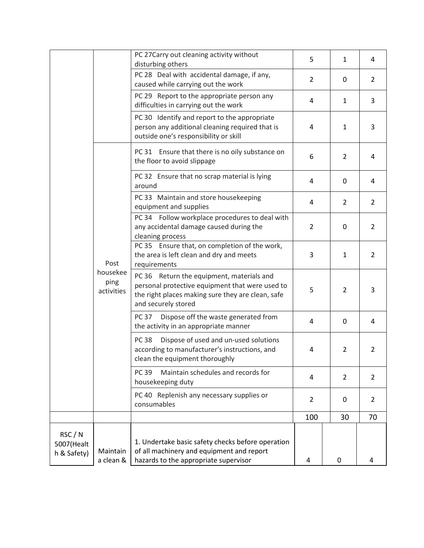|                                      |                                | PC 27Carry out cleaning activity without                                                                                                                                 | 5              | $\mathbf{1}$     | 4              |
|--------------------------------------|--------------------------------|--------------------------------------------------------------------------------------------------------------------------------------------------------------------------|----------------|------------------|----------------|
|                                      |                                | disturbing others<br>PC 28 Deal with accidental damage, if any,<br>caused while carrying out the work                                                                    | $\overline{2}$ | 0                | $\overline{2}$ |
|                                      |                                | PC 29 Report to the appropriate person any<br>difficulties in carrying out the work                                                                                      | 4              | 1                | 3              |
|                                      |                                | PC 30 Identify and report to the appropriate<br>person any additional cleaning required that is<br>outside one's responsibility or skill                                 | 4              | $\mathbf{1}$     | 3              |
|                                      |                                | PC 31 Ensure that there is no oily substance on<br>the floor to avoid slippage                                                                                           | 6              | $\overline{2}$   | 4              |
|                                      |                                | PC 32 Ensure that no scrap material is lying<br>around                                                                                                                   | 4              | 0                | 4              |
|                                      |                                | PC 33 Maintain and store housekeeping<br>equipment and supplies                                                                                                          | 4              | $\overline{2}$   | $\overline{2}$ |
|                                      |                                | PC 34 Follow workplace procedures to deal with<br>any accidental damage caused during the<br>cleaning process                                                            | $\overline{2}$ | 0                | 2              |
|                                      | Post                           | PC 35 Ensure that, on completion of the work,<br>the area is left clean and dry and meets<br>requirements                                                                | 3              | 1                | $\overline{2}$ |
|                                      | housekee<br>ping<br>activities | PC 36 Return the equipment, materials and<br>personal protective equipment that were used to<br>the right places making sure they are clean, safe<br>and securely stored | 5              | $\overline{2}$   | 3              |
|                                      |                                | Dispose off the waste generated from<br><b>PC 37</b><br>the activity in an appropriate manner                                                                            | 4              | 0                | 4              |
|                                      |                                | Dispose of used and un-used solutions<br><b>PC 38</b><br>according to manufacturer's instructions, and<br>clean the equipment thoroughly                                 | 4              | $\overline{2}$   | 2              |
|                                      |                                | PC 39<br>Maintain schedules and records for<br>housekeeping duty                                                                                                         | 4              | 2                | $\overline{2}$ |
|                                      |                                | PC 40 Replenish any necessary supplies or<br>consumables                                                                                                                 | $\overline{2}$ | 0                | $\overline{2}$ |
|                                      |                                |                                                                                                                                                                          | 100            | 30               | 70             |
| RSC / N<br>5007(Healt<br>h & Safety) | Maintain<br>a clean &          | 1. Undertake basic safety checks before operation<br>of all machinery and equipment and report<br>hazards to the appropriate supervisor                                  | 4              | $\boldsymbol{0}$ | 4              |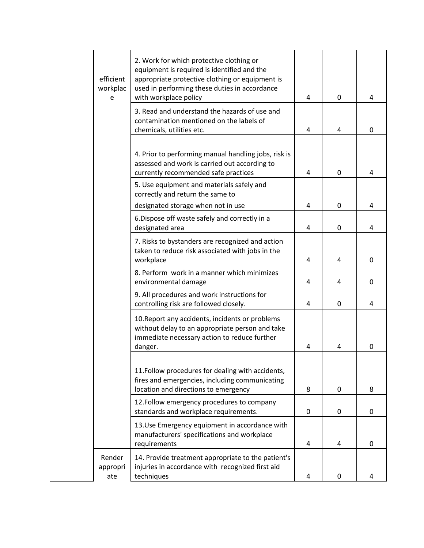| efficient<br>workplac<br>e | 2. Work for which protective clothing or<br>equipment is required is identified and the<br>appropriate protective clothing or equipment is<br>used in performing these duties in accordance<br>with workplace policy | 4 | $\Omega$       | 4 |
|----------------------------|----------------------------------------------------------------------------------------------------------------------------------------------------------------------------------------------------------------------|---|----------------|---|
|                            | 3. Read and understand the hazards of use and<br>contamination mentioned on the labels of<br>chemicals, utilities etc.                                                                                               | 4 | 4              | 0 |
|                            | 4. Prior to performing manual handling jobs, risk is<br>assessed and work is carried out according to<br>currently recommended safe practices                                                                        | 4 | $\Omega$       | 4 |
|                            | 5. Use equipment and materials safely and<br>correctly and return the same to<br>designated storage when not in use                                                                                                  | 4 | $\Omega$       | 4 |
|                            | 6. Dispose off waste safely and correctly in a<br>designated area                                                                                                                                                    | 4 | $\Omega$       | 4 |
|                            | 7. Risks to bystanders are recognized and action<br>taken to reduce risk associated with jobs in the<br>workplace                                                                                                    | 4 | 4              | 0 |
|                            | 8. Perform work in a manner which minimizes<br>environmental damage                                                                                                                                                  | 4 | 4              | 0 |
|                            | 9. All procedures and work instructions for<br>controlling risk are followed closely.                                                                                                                                | 4 | 0              | 4 |
|                            | 10. Report any accidents, incidents or problems<br>without delay to an appropriate person and take<br>immediate necessary action to reduce further<br>danger.                                                        | 4 | 4              | 0 |
|                            | 11. Follow procedures for dealing with accidents,<br>fires and emergencies, including communicating<br>location and directions to emergency                                                                          | 8 | 0              | 8 |
|                            | 12. Follow emergency procedures to company<br>standards and workplace requirements.                                                                                                                                  | 0 | 0              | 0 |
|                            | 13. Use Emergency equipment in accordance with<br>manufacturers' specifications and workplace<br>requirements                                                                                                        | 4 | $\overline{4}$ | 0 |
| Render<br>appropri<br>ate  | 14. Provide treatment appropriate to the patient's<br>injuries in accordance with recognized first aid<br>techniques                                                                                                 | 4 | $\pmb{0}$      | 4 |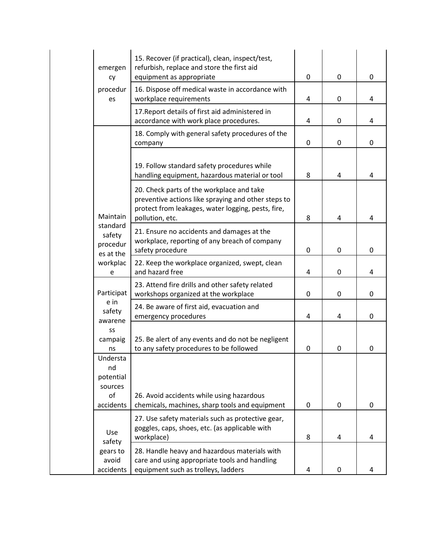| emergen<br>cy                                             | 15. Recover (if practical), clean, inspect/test,<br>refurbish, replace and store the first aid<br>equipment as appropriate                                                | 0 | $\Omega$    | 0        |
|-----------------------------------------------------------|---------------------------------------------------------------------------------------------------------------------------------------------------------------------------|---|-------------|----------|
| procedur<br>es                                            | 16. Dispose off medical waste in accordance with<br>workplace requirements                                                                                                | 4 | $\mathbf 0$ | 4        |
|                                                           | 17. Report details of first aid administered in<br>accordance with work place procedures.                                                                                 | 4 | 0           | 4        |
|                                                           | 18. Comply with general safety procedures of the<br>company                                                                                                               | 0 | 0           | 0        |
|                                                           | 19. Follow standard safety procedures while<br>handling equipment, hazardous material or tool                                                                             | 8 | 4           | 4        |
| Maintain                                                  | 20. Check parts of the workplace and take<br>preventive actions like spraying and other steps to<br>protect from leakages, water logging, pests, fire,<br>pollution, etc. | 8 | 4           | 4        |
| standard<br>safety<br>procedur<br>es at the               | 21. Ensure no accidents and damages at the<br>workplace, reporting of any breach of company<br>safety procedure                                                           | 0 | 0           | 0        |
| workplac<br>e                                             | 22. Keep the workplace organized, swept, clean<br>and hazard free                                                                                                         | 4 | 0           | 4        |
| Participat                                                | 23. Attend fire drills and other safety related<br>workshops organized at the workplace                                                                                   | 0 | $\mathbf 0$ | 0        |
| e in<br>safety<br>awarene                                 | 24. Be aware of first aid, evacuation and<br>emergency procedures                                                                                                         | 4 | 4           | 0        |
| SS<br>campaig<br>ns                                       | 25. Be alert of any events and do not be negligent<br>to any safety procedures to be followed                                                                             | 0 | 0           | 0        |
| Understa<br>nd<br>potential<br>sources<br>of<br>accidents | 26. Avoid accidents while using hazardous<br>chemicals, machines, sharp tools and equipment                                                                               | 0 | $\Omega$    | $\Omega$ |
| Use<br>safety                                             | 27. Use safety materials such as protective gear,<br>goggles, caps, shoes, etc. (as applicable with<br>workplace)                                                         | 8 | 4           | 4        |
| gears to<br>avoid<br>accidents                            | 28. Handle heavy and hazardous materials with<br>care and using appropriate tools and handling<br>equipment such as trolleys, ladders                                     | 4 | 0           | 4        |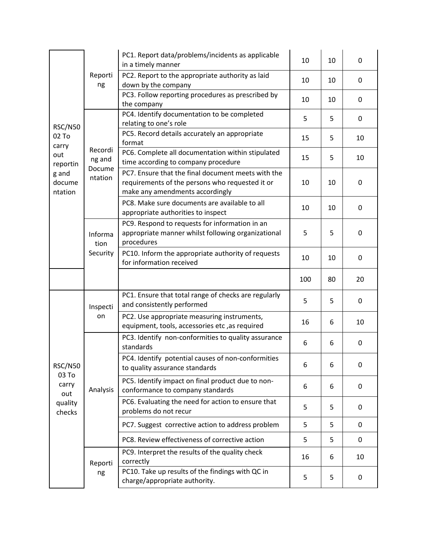| <b>RSC/N50</b>             |                   | PC1. Report data/problems/incidents as applicable<br>in a timely manner                                                                  | 10  | 10 | 0  |
|----------------------------|-------------------|------------------------------------------------------------------------------------------------------------------------------------------|-----|----|----|
|                            | Reporti<br>ng     | PC2. Report to the appropriate authority as laid<br>down by the company                                                                  | 10  | 10 | 0  |
|                            |                   | PC3. Follow reporting procedures as prescribed by<br>the company                                                                         | 10  | 10 | 0  |
|                            |                   | PC4. Identify documentation to be completed<br>relating to one's role                                                                    | 5   | 5  | 0  |
| 02 To<br>carry             |                   | PC5. Record details accurately an appropriate<br>format                                                                                  | 15  | 5  | 10 |
| out<br>reportin            | Recordi<br>ng and | PC6. Complete all documentation within stipulated<br>time according to company procedure                                                 | 15  | 5  | 10 |
| g and<br>docume<br>ntation | Docume<br>ntation | PC7. Ensure that the final document meets with the<br>requirements of the persons who requested it or<br>make any amendments accordingly | 10  | 10 | 0  |
|                            |                   | PC8. Make sure documents are available to all<br>appropriate authorities to inspect                                                      | 10  | 10 | 0  |
|                            | Informa<br>tion   | PC9. Respond to requests for information in an<br>appropriate manner whilst following organizational<br>procedures                       | 5   | 5  | 0  |
|                            | Security          | PC10. Inform the appropriate authority of requests<br>for information received                                                           | 10  | 10 | 0  |
|                            |                   |                                                                                                                                          |     |    |    |
|                            |                   |                                                                                                                                          | 100 | 80 | 20 |
|                            | Inspecti          | PC1. Ensure that total range of checks are regularly<br>and consistently performed                                                       | 5   | 5  | 0  |
|                            | on                | PC2. Use appropriate measuring instruments,<br>equipment, tools, accessories etc, as required                                            | 16  | 6  | 10 |
|                            |                   | PC3. Identify non-conformities to quality assurance<br>standards                                                                         | 6   | 6  | 0  |
| <b>RSC/N50</b>             |                   | PC4. Identify potential causes of non-conformities<br>to quality assurance standards                                                     | 6   | 6  | 0  |
| 03 To<br>carry             | Analysis          | PC5. Identify impact on final product due to non-<br>conformance to company standards                                                    | 6   | 6  | 0  |
| out<br>quality<br>checks   |                   | PC6. Evaluating the need for action to ensure that<br>problems do not recur                                                              | 5   | 5  | 0  |
|                            |                   | PC7. Suggest corrective action to address problem                                                                                        | 5   | 5  | 0  |
|                            |                   | PC8. Review effectiveness of corrective action                                                                                           | 5   | 5  | 0  |
|                            | Reporti           | PC9. Interpret the results of the quality check<br>correctly                                                                             | 16  | 6  | 10 |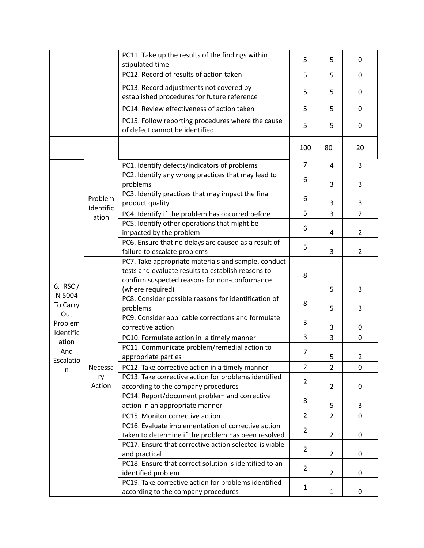|                      |                      | PC11. Take up the results of the findings within<br>stipulated time                                                                                        | 5              | 5              | 0              |
|----------------------|----------------------|------------------------------------------------------------------------------------------------------------------------------------------------------------|----------------|----------------|----------------|
|                      |                      | PC12. Record of results of action taken                                                                                                                    | 5              | 5              | 0              |
|                      |                      | PC13. Record adjustments not covered by<br>established procedures for future reference                                                                     | 5              | 5              | 0              |
|                      |                      | PC14. Review effectiveness of action taken                                                                                                                 | 5              | 5              | 0              |
|                      |                      | PC15. Follow reporting procedures where the cause<br>of defect cannot be identified                                                                        | 5              | 5              | 0              |
|                      |                      |                                                                                                                                                            | 100            | 80             | 20             |
|                      |                      | PC1. Identify defects/indicators of problems                                                                                                               | $\overline{7}$ | 4              | 3              |
|                      |                      | PC2. Identify any wrong practices that may lead to<br>problems                                                                                             | 6              | 3              | 3              |
|                      | Problem<br>Identific | PC3. Identify practices that may impact the final<br>product quality                                                                                       | 6              | 3              | 3              |
|                      | ation                | PC4. Identify if the problem has occurred before                                                                                                           | 5              | 3              | $\overline{2}$ |
|                      |                      | PC5. Identify other operations that might be<br>impacted by the problem                                                                                    | 6              | 4              | $\overline{2}$ |
|                      |                      | PC6. Ensure that no delays are caused as a result of<br>failure to escalate problems                                                                       | 5              | 3              | $\overline{2}$ |
|                      |                      | PC7. Take appropriate materials and sample, conduct<br>tests and evaluate results to establish reasons to<br>confirm suspected reasons for non-conformance | 8              |                |                |
| 6. RSC /<br>N 5004   |                      | (where required)<br>PC8. Consider possible reasons for identification of                                                                                   |                | 5              | 3              |
| To Carry<br>Out      |                      | problems                                                                                                                                                   | 8              | 5              | 3              |
| Problem<br>Identific |                      | PC9. Consider applicable corrections and formulate<br>corrective action                                                                                    | 3              | 3              | 0              |
| ation                |                      | PC10. Formulate action in a timely manner                                                                                                                  | 3              | 3              | $\mathbf 0$    |
| And<br>Escalatio     |                      | PC11. Communicate problem/remedial action to<br>appropriate parties                                                                                        | $\overline{7}$ | 5              | 2              |
| n                    | Necessa              | PC12. Take corrective action in a timely manner                                                                                                            | $\overline{2}$ | $\overline{2}$ | 0              |
|                      | ry<br>Action         | PC13. Take corrective action for problems identified<br>according to the company procedures                                                                | 2              | $\overline{2}$ | 0              |
|                      |                      | PC14. Report/document problem and corrective<br>action in an appropriate manner                                                                            | 8              | 5              | 3              |
|                      |                      | PC15. Monitor corrective action                                                                                                                            | $\overline{2}$ | $\overline{2}$ | 0              |
|                      |                      | PC16. Evaluate implementation of corrective action<br>taken to determine if the problem has been resolved                                                  | $\overline{2}$ | $\overline{2}$ | 0              |
|                      |                      | PC17. Ensure that corrective action selected is viable<br>and practical                                                                                    | 2              | $\overline{2}$ | 0              |
|                      |                      | PC18. Ensure that correct solution is identified to an<br>identified problem                                                                               | 2              | 2              | $\pmb{0}$      |
|                      |                      | PC19. Take corrective action for problems identified<br>according to the company procedures                                                                | 1              | $\mathbf{1}$   | 0              |